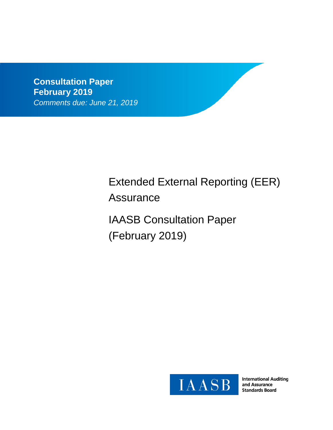**Consultation Paper February 2019** *Comments due: June 21, 2019*

# Extended External Reporting (EER) Assurance

IAASB Consultation Paper (February 2019)



**International Auditing** and Assurance **Standards Board**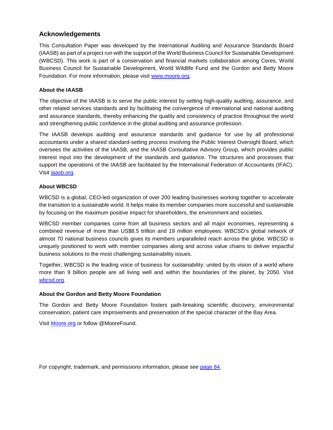## **Acknowledgements**

This Consultation Paper was developed by the International Auditing and Assurance Standards Board (IAASB) as part of a project run with the support of the World Business Council for Sustainable Development (WBCSD). This work is part of a conservation and financial markets collaboration among Ceres, World Business Council for Sustainable Development, World Wildlife Fund and the Gordon and Betty Moore Foundation. For more information, please visit www.moore.org.

#### **About the IAASB**

The objective of the IAASB is to serve the public interest by setting high-quality auditing, assurance, and other related services standards and by facilitating the convergence of international and national auditing and assurance standards, thereby enhancing the quality and consistency of practice throughout the world and strengthening public confidence in the global auditing and assurance profession.

The IAASB develops auditing and assurance standards and guidance for use by all professional accountants under a shared standard-setting process involving the Public Interest Oversight Board, which oversees the activities of the IAASB, and the IAASB Consultative Advisory Group, which provides public interest input into the development of the standards and guidance. The structures and processes that support the operations of the IAASB are facilitated by the International Federation of Accountants (IFAC). Visit jaasb.org.

#### **About WBCSD**

WBCSD is a global, CEO-led organization of over 200 leading businesses working together to accelerate the transition to a sustainable world. It helps make its member companies more successful and sustainable by focusing on the maximum positive impact for shareholders, the environment and societies.

WBCSD member companies come from all business sectors and all major economies, representing a combined revenue of more than US\$8.5 trillion and 19 million employees. WBCSD's global network of almost 70 national business councils gives its members unparalleled reach across the globe. WBCSD is uniquely positioned to work with member companies along and across value chains to deliver impactful business solutions to the most challenging sustainability issues.

Together, WBCSD is the leading voice of business for sustainability: united by its vision of a world where more than 9 billion people are all living well and within the boundaries of the planet, by 2050. Visit wbcsd.org.

#### **About the Gordon and Betty Moore Foundation**

The Gordon and Betty Moore Foundation fosters path-breaking scientific discovery, environmental conservation, patient care improvements and preservation of the special character of the Bay Area.

Visit Moore.org or follow @MooreFound.

For copyright, trademark, and permissions information, please see page 84.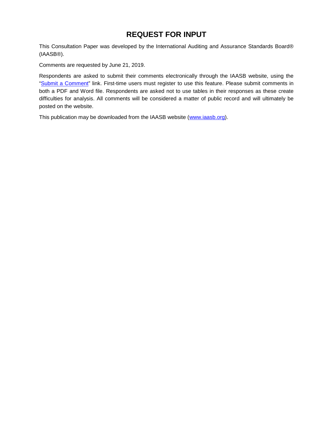## **REQUEST FOR INPUT**

This Consultation Paper was developed by the International Auditing and Assurance Standards Board® (IAASB®).

Comments are requested by June 21, 2019.

Respondents are asked to submit their comments electronically through the IAASB website, using the "Submit a Comment" link. First-time users must register to use this feature. Please submit comments in both a PDF and Word file. Respondents are asked not to use tables in their responses as these create difficulties for analysis. All comments will be considered a matter of public record and will ultimately be posted on the website.

This publication may be downloaded from the IAASB website (www.iaasb.org).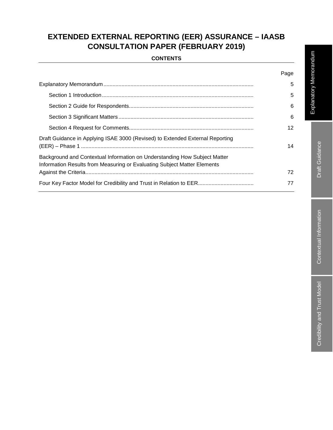# **EXTENDED EXTERNAL REPORTING (EER) ASSURANCE – IAASB CONSULTATION PAPER (FEBRUARY 2019)**

## **CONTENTS**

|                                                                                                                                                       | Page |
|-------------------------------------------------------------------------------------------------------------------------------------------------------|------|
|                                                                                                                                                       | 5    |
|                                                                                                                                                       | 5    |
|                                                                                                                                                       | 6    |
|                                                                                                                                                       | 6    |
|                                                                                                                                                       | 12   |
| Draft Guidance in Applying ISAE 3000 (Revised) to Extended External Reporting                                                                         | 14   |
| Background and Contextual Information on Understanding How Subject Matter<br>Information Results from Measuring or Evaluating Subject Matter Elements |      |
|                                                                                                                                                       | 72   |
|                                                                                                                                                       | 77   |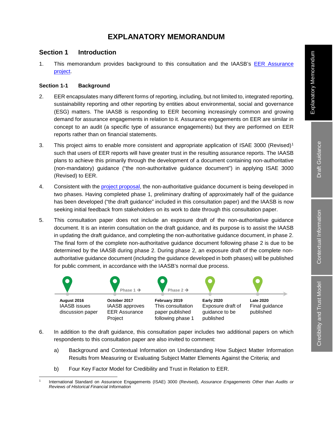# **EXPLANATORY MEMORANDUM**

## **Section 1 Introduction**

1. This memorandum provides background to this consultation and the IAASB's EER Assurance project.

### **Section 1-1 Background**

- 2. EER encapsulates many different forms of reporting, including, but not limited to, integrated reporting, sustainability reporting and other reporting by entities about environmental, social and governance (ESG) matters. The IAASB is responding to EER becoming increasingly common and growing demand for assurance engagements in relation to it. Assurance engagements on EER are similar in concept to an audit (a specific type of assurance engagements) but they are performed on EER reports rather than on financial statements.
- 3. This project aims to enable more consistent and appropriate application of ISAE 3000 (Revised)1 such that users of EER reports will have greater trust in the resulting assurance reports. The IAASB plans to achieve this primarily through the development of a document containing non-authoritative (non-mandatory) guidance ("the non-authoritative guidance document") in applying ISAE 3000 (Revised) to EER.
- 4. Consistent with the project proposal, the non-authoritative guidance document is being developed in two phases. Having completed phase 1, preliminary drafting of approximately half of the guidance has been developed ("the draft guidance" included in this consultation paper) and the IAASB is now seeking initial feedback from stakeholders on its work to date through this consultation paper.
- 5. This consultation paper does not include an exposure draft of the non-authoritative guidance document. It is an interim consultation on the draft guidance, and its purpose is to assist the IAASB in updating the draft guidance, and completing the non-authoritative guidance document, in phase 2. The final form of the complete non-authoritative guidance document following phase 2 is due to be determined by the IAASB during phase 2. During phase 2, an exposure draft of the complete nonauthoritative guidance document (including the guidance developed in both phases) will be published for public comment, in accordance with the IAASB's normal due process.



- 6. In addition to the draft guidance, this consultation paper includes two additional papers on which respondents to this consultation paper are also invited to comment:
	- a) Background and Contextual Information on Understanding How Subject Matter Information Results from Measuring or Evaluating Subject Matter Elements Against the Criteria; and
	- b) Four Key Factor Model for Credibility and Trust in Relation to EER.

 <sup>1</sup> International Standard on Assurance Engagements (ISAE) 3000 (Revised), *Assurance Engagements Other than Audits or Reviews of Historical Financial Information*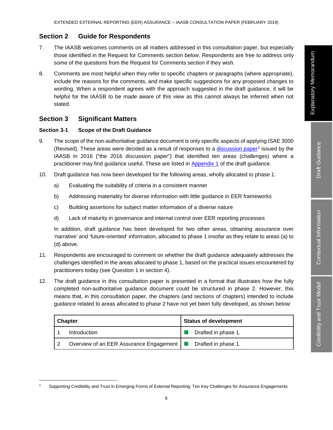## **Section 2 Guide for Respondents**

- 7. The IAASB welcomes comments on all matters addressed in this consultation paper, but especially those identified in the Request for Comments section below. Respondents are free to address only some of the questions from the Request for Comments section if they wish.
- 8. Comments are most helpful when they refer to specific chapters or paragraphs (where appropriate), include the reasons for the comments, and make specific suggestions for any proposed changes to wording. When a respondent agrees with the approach suggested in the draft guidance, it will be helpful for the IAASB to be made aware of this view as this cannot always be inferred when not stated.

## **Section 3 Significant Matters**

#### **Section 3-1 Scope of the Draft Guidance**

- 9. The scope of the non-authoritative guidance document is only specific aspects of applying ISAE 3000 (Revised). These areas were decided as a result of responses to a discussion paper<sup>2</sup> issued by the IAASB in 2016 ("the 2016 discussion paper") that identified ten areas (challenges) where a practitioner may find guidance useful. These are listed in Appendix 1 of the draft guidance.
- 10. Draft guidance has now been developed for the following areas, wholly allocated to phase 1:
	- a) Evaluating the suitability of criteria in a consistent manner
	- b) Addressing materiality for diverse information with little guidance in EER frameworks
	- c) Building assertions for subject matter information of a diverse nature
	- d) Lack of maturity in governance and internal control over EER reporting processes

In addition, draft guidance has been developed for two other areas, obtaining assurance over 'narrative' and 'future-oriented' information, allocated to phase 1 insofar as they relate to areas (a) to (d) above.

- 11. Respondents are encouraged to comment on whether the draft guidance adequately addresses the challenges identified in the areas allocated to phase 1, based on the practical issues encountered by practitioners today (see Question 1 in section 4).
- 12. The draft guidance in this consultation paper is presented in a format that illustrates how the fully completed non-authoritative guidance document could be structured in phase 2. However, this means that, in this consultation paper, the chapters (and sections of chapters) intended to include guidance related to areas allocated to phase 2 have not yet been fully developed, as shown below:

| <b>Chapter</b>                                                  | <b>Status of development</b> |  |  |
|-----------------------------------------------------------------|------------------------------|--|--|
| Introduction                                                    | Drafted in phase 1.          |  |  |
| Overview of an EER Assurance Engagement   ■ Drafted in phase 1. |                              |  |  |

<sup>&</sup>lt;sup>2</sup> Supporting Credibility and Trust in Emerging Forms of External Reporting: Ten Key Challenges for Assurance Engagements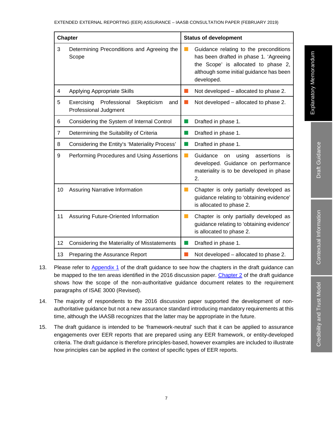|                | <b>Chapter</b>                                                           | <b>Status of development</b> |                                                                                                                                                                                  |  |
|----------------|--------------------------------------------------------------------------|------------------------------|----------------------------------------------------------------------------------------------------------------------------------------------------------------------------------|--|
| 3              | Determining Preconditions and Agreeing the<br>Scope                      |                              | Guidance relating to the preconditions<br>has been drafted in phase 1. 'Agreeing<br>the Scope' is allocated to phase 2,<br>although some initial guidance has been<br>developed. |  |
| 4              | <b>Applying Appropriate Skills</b>                                       | m.                           | Not developed – allocated to phase 2.                                                                                                                                            |  |
| 5              | Skepticism<br>Exercising<br>Professional<br>and<br>Professional Judgment |                              | Not developed – allocated to phase 2.                                                                                                                                            |  |
| 6              | Considering the System of Internal Control                               |                              | Drafted in phase 1.                                                                                                                                                              |  |
| $\overline{7}$ | Determining the Suitability of Criteria                                  | l a l                        | Drafted in phase 1.                                                                                                                                                              |  |
| 8              | Considering the Entity's 'Materiality Process'                           | l a l                        | Drafted in phase 1.                                                                                                                                                              |  |
| 9              | Performing Procedures and Using Assertions                               | m.                           | Guidance<br>on using<br>assertions<br>is<br>developed. Guidance on performance<br>materiality is to be developed in phase<br>2.                                                  |  |
| 10             | <b>Assuring Narrative Information</b>                                    | m.                           | Chapter is only partially developed as<br>guidance relating to 'obtaining evidence'<br>is allocated to phase 2.                                                                  |  |
| 11             | Assuring Future-Oriented Information                                     | <b>COL</b>                   | Chapter is only partially developed as<br>guidance relating to 'obtaining evidence'<br>is allocated to phase 2.                                                                  |  |
| 12             | Considering the Materiality of Misstatements                             |                              | Drafted in phase 1.                                                                                                                                                              |  |
| 13             | Preparing the Assurance Report                                           |                              | Not developed - allocated to phase 2.                                                                                                                                            |  |

- 13. Please refer to Appendix 1 of the draft guidance to see how the chapters in the draft guidance can be mapped to the ten areas identified in the 2016 discussion paper. Chapter 2 of the draft guidance shows how the scope of the non-authoritative guidance document relates to the requirement paragraphs of ISAE 3000 (Revised).
- 14. The majority of respondents to the 2016 discussion paper supported the development of nonauthoritative guidance but not a new assurance standard introducing mandatory requirements at this time, although the IAASB recognizes that the latter may be appropriate in the future.
- 15. The draft guidance is intended to be 'framework-neutral' such that it can be applied to assurance engagements over EER reports that are prepared using any EER framework, or entity-developed criteria. The draft guidance is therefore principles-based, however examples are included to illustrate how principles can be applied in the context of specific types of EER reports.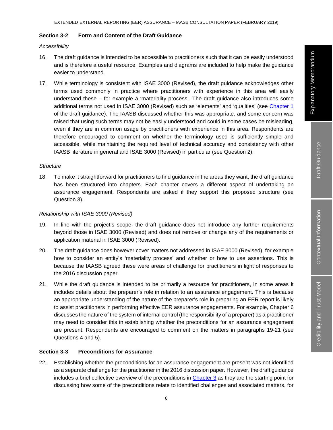#### **Section 3-2 Form and Content of the Draft Guidance**

#### *Accessibility*

- 16. The draft guidance is intended to be accessible to practitioners such that it can be easily understood and is therefore a useful resource. Examples and diagrams are included to help make the guidance easier to understand.
- 17. While terminology is consistent with ISAE 3000 (Revised), the draft guidance acknowledges other terms used commonly in practice where practitioners with experience in this area will easily understand these – for example a 'materiality process'. The draft guidance also introduces some additional terms not used in ISAE 3000 (Revised) such as 'elements' and 'qualities' (see Chapter 1 of the draft guidance). The IAASB discussed whether this was appropriate, and some concern was raised that using such terms may not be easily understood and could in some cases be misleading, even if they are in common usage by practitioners with experience in this area. Respondents are therefore encouraged to comment on whether the terminology used is sufficiently simple and accessible, while maintaining the required level of technical accuracy and consistency with other IAASB literature in general and ISAE 3000 (Revised) in particular (see Question 2).

#### *Structure*

18. To make it straightforward for practitioners to find guidance in the areas they want, the draft guidance has been structured into chapters. Each chapter covers a different aspect of undertaking an assurance engagement. Respondents are asked if they support this proposed structure (see Question 3).

#### *Relationship with ISAE 3000 (Revised)*

- 19. In line with the project's scope, the draft guidance does not introduce any further requirements beyond those in ISAE 3000 (Revised) and does not remove or change any of the requirements or application material in ISAE 3000 (Revised).
- 20. The draft guidance does however cover matters not addressed in ISAE 3000 (Revised), for example how to consider an entity's 'materiality process' and whether or how to use assertions. This is because the IAASB agreed these were areas of challenge for practitioners in light of responses to the 2016 discussion paper.
- 21. While the draft guidance is intended to be primarily a resource for practitioners, in some areas it includes details about the preparer's role in relation to an assurance engagement. This is because an appropriate understanding of the nature of the preparer's role in preparing an EER report is likely to assist practitioners in performing effective EER assurance engagements. For example, Chapter 6 discusses the nature of the system of internal control (the responsibility of a preparer) as a practitioner may need to consider this in establishing whether the preconditions for an assurance engagement are present. Respondents are encouraged to comment on the matters in paragraphs 19-21 (see Questions 4 and 5).

#### **Section 3-3 Preconditions for Assurance**

22. Establishing whether the preconditions for an assurance engagement are present was not identified as a separate challenge for the practitioner in the 2016 discussion paper. However, the draft guidance includes a brief collective overview of the preconditions in Chapter 3 as they are the starting point for discussing how some of the preconditions relate to identified challenges and associated matters, for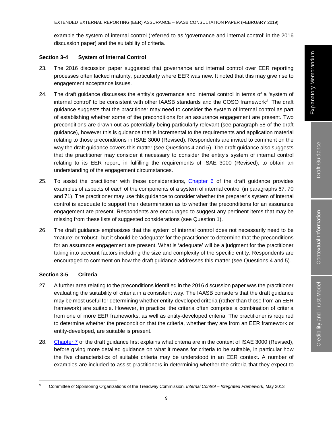example the system of internal control (referred to as 'governance and internal control' in the 2016 discussion paper) and the suitability of criteria.

#### **Section 3-4 System of Internal Control**

- 23. The 2016 discussion paper suggested that governance and internal control over EER reporting processes often lacked maturity, particularly where EER was new. It noted that this may give rise to engagement acceptance issues.
- 24. The draft guidance discusses the entity's governance and internal control in terms of a 'system of internal control' to be consistent with other IAASB standards and the COSO framework3. The draft guidance suggests that the practitioner may need to consider the system of internal control as part of establishing whether some of the preconditions for an assurance engagement are present. Two preconditions are drawn out as potentially being particularly relevant (see paragraph 58 of the draft guidance), however this is guidance that is incremental to the requirements and application material relating to those preconditions in ISAE 3000 (Revised). Respondents are invited to comment on the way the draft guidance covers this matter (see Questions 4 and 5). The draft guidance also suggests that the practitioner may consider it necessary to consider the entity's system of internal control relating to its EER report, in fulfilling the requirements of ISAE 3000 (Revised), to obtain an understanding of the engagement circumstances.
- 25. To assist the practitioner with these considerations, Chapter 6 of the draft guidance provides examples of aspects of each of the components of a system of internal control (in paragraphs 67, 70 and 71). The practitioner may use this guidance to consider whether the preparer's system of internal control is adequate to support their determination as to whether the preconditions for an assurance engagement are present. Respondents are encouraged to suggest any pertinent items that may be missing from these lists of suggested considerations (see Question 1).
- 26. The draft guidance emphasizes that the system of internal control does not necessarily need to be 'mature' or 'robust', but it should be 'adequate' for the practitioner to determine that the preconditions for an assurance engagement are present. What is 'adequate' will be a judgment for the practitioner taking into account factors including the size and complexity of the specific entity. Respondents are encouraged to comment on how the draft guidance addresses this matter (see Questions 4 and 5).

#### **Section 3-5 Criteria**

- 27. A further area relating to the preconditions identified in the 2016 discussion paper was the practitioner evaluating the suitability of criteria in a consistent way. The IAASB considers that the draft guidance may be most useful for determining whether entity-developed criteria (rather than those from an EER framework) are suitable. However, in practice, the criteria often comprise a combination of criteria from one of more EER frameworks, as well as entity-developed criteria. The practitioner is required to determine whether the precondition that the criteria, whether they are from an EER framework or entity-developed, are suitable is present.
- 28. Chapter 7 of the draft guidance first explains what criteria are in the context of ISAE 3000 (Revised), before giving more detailed guidance on what it means for criteria to be suitable, in particular how the five characteristics of suitable criteria may be understood in an EER context. A number of examples are included to assist practitioners in determining whether the criteria that they expect to

 <sup>3</sup> Committee of Sponsoring Organizations of the Treadway Commission, *Internal Control – Integrated Framework*, May 2013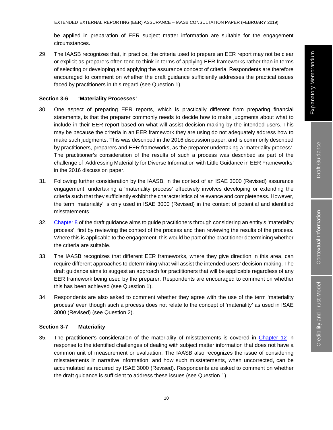be applied in preparation of EER subject matter information are suitable for the engagement circumstances.

29. The IAASB recognizes that, in practice, the criteria used to prepare an EER report may not be clear or explicit as preparers often tend to think in terms of applying EER frameworks rather than in terms of selecting or developing and applying the assurance concept of criteria. Respondents are therefore encouraged to comment on whether the draft guidance sufficiently addresses the practical issues faced by practitioners in this regard (see Question 1).

#### **Section 3-6 'Materiality Processes'**

- 30. One aspect of preparing EER reports, which is practically different from preparing financial statements, is that the preparer commonly needs to decide how to make judgments about what to include in their EER report based on what will assist decision-making by the intended users. This may be because the criteria in an EER framework they are using do not adequately address how to make such judgments. This was described in the 2016 discussion paper, and is commonly described by practitioners, preparers and EER frameworks, as the preparer undertaking a 'materiality process'. The practitioner's consideration of the results of such a process was described as part of the challenge of 'Addressing Materiality for Diverse Information with Little Guidance in EER Frameworks' in the 2016 discussion paper.
- 31. Following further consideration by the IAASB, in the context of an ISAE 3000 (Revised) assurance engagement, undertaking a 'materiality process' effectively involves developing or extending the criteria such that they sufficiently exhibit the characteristics of relevance and completeness. However, the term 'materiality' is only used in ISAE 3000 (Revised) in the context of potential and identified misstatements.
- 32. Chapter 8 of the draft guidance aims to guide practitioners through considering an entity's 'materiality process', first by reviewing the context of the process and then reviewing the results of the process. Where this is applicable to the engagement, this would be part of the practitioner determining whether the criteria are suitable.
- 33. The IAASB recognizes that different EER frameworks, where they give direction in this area, can require different approaches to determining what will assist the intended users' decision-making. The draft guidance aims to suggest an approach for practitioners that will be applicable regardless of any EER framework being used by the preparer. Respondents are encouraged to comment on whether this has been achieved (see Question 1).
- 34. Respondents are also asked to comment whether they agree with the use of the term 'materiality process' even though such a process does not relate to the concept of 'materiality' as used in ISAE 3000 (Revised) (see Question 2).

#### **Section 3-7 Materiality**

35. The practitioner's consideration of the materiality of misstatements is covered in Chapter 12 in response to the identified challenges of dealing with subject matter information that does not have a common unit of measurement or evaluation. The IAASB also recognizes the issue of considering misstatements in narrative information, and how such misstatements, when uncorrected, can be accumulated as required by ISAE 3000 (Revised). Respondents are asked to comment on whether the draft guidance is sufficient to address these issues (see Question 1).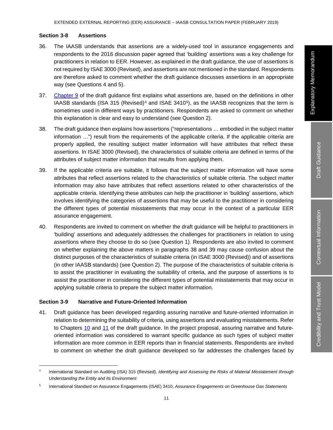#### **Section 3-8 Assertions**

- 36. The IAASB understands that assertions are a widely-used tool in assurance engagements and respondents to the 2016 discussion paper agreed that 'building' assertions was a key challenge for practitioners in relation to EER. However, as explained in the draft guidance, the use of assertions is not required by ISAE 3000 (Revised), and assertions are not mentioned in the standard. Respondents are therefore asked to comment whether the draft guidance discusses assertions in an appropriate way (see Questions 4 and 5).
- 37. Chapter 9 of the draft guidance first explains what assertions are, based on the definitions in other IAASB standards (ISA 315 (Revised)<sup>4</sup> and ISAE 3410<sup>5</sup>), as the IAASB recognizes that the term is sometimes used in different ways by practitioners. Respondents are asked to comment on whether this explanation is clear and easy to understand (see Question 2).
- 38. The draft guidance then explains how assertions ("representations … embodied in the subject matter information …") result from the requirements of the applicable criteria. If the applicable criteria are properly applied, the resulting subject matter information will have attributes that reflect these assertions. In ISAE 3000 (Revised), the characteristics of suitable criteria are defined in terms of the attributes of subject matter information that results from applying them.
- 39. If the applicable criteria are suitable, it follows that the subject matter information will have some attributes that reflect assertions related to the characteristics of suitable criteria. The subject matter information may also have attributes that reflect assertions related to other characteristics of the applicable criteria. Identifying these attributes can help the practitioner in 'building' assertions, which involves identifying the categories of assertions that may be useful to the practitioner in considering the different types of potential misstatements that may occur in the context of a particular EER assurance engagement.
- 40. Respondents are invited to comment on whether the draft guidance will be helpful to practitioners in 'building' assertions and adequately addresses the challenges for practitioners in relation to using assertions where they choose to do so (see Question 1). Respondents are also invited to comment on whether explaining the above matters in paragraphs 38 and 39 may cause confusion about the distinct purposes of the characteristics of suitable criteria (in ISAE 3000 (Revised)) and of assertions (in other IAASB standards) (see Question 2). The purpose of the characteristics of suitable criteria is to assist the practitioner in evaluating the suitability of criteria, and the purpose of assertions is to assist the practitioner in considering the different types of potential misstatements that may occur in applying suitable criteria to prepare the subject matter information.

#### **Section 3-9 Narrative and Future-Oriented Information**

41. Draft guidance has been developed regarding assuring narrative and future-oriented information in relation to determining the suitability of criteria, using assertions and evaluating misstatements. Refer to Chapters 10 and 11 of the draft guidance. In the project proposal, assuring narrative and futureoriented information was considered to warrant specific guidance as such types of subject matter information are more common in EER reports than in financial statements. Respondents are invited to comment on whether the draft guidance developed so far addresses the challenges faced by

 <sup>4</sup> International Standard on Auditing (ISA) 315 (Revised), *Identifying and Assessing the Risks of Material Misstatement through Understanding the Entity and Its Environment*

<sup>5</sup> International Standard on Assurance Engagements (ISAE) 3410, *Assurance Engagements on Greenhouse Gas Statements*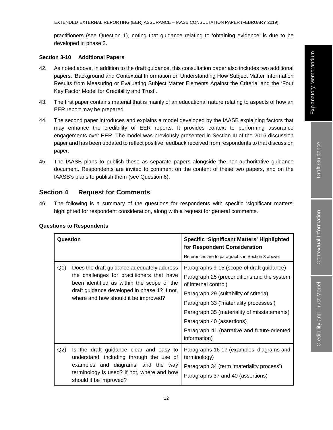practitioners (see Question 1), noting that guidance relating to 'obtaining evidence' is due to be developed in phase 2.

#### **Section 3-10 Additional Papers**

- 42. As noted above, in addition to the draft guidance, this consultation paper also includes two additional papers: 'Background and Contextual Information on Understanding How Subject Matter Information Results from Measuring or Evaluating Subject Matter Elements Against the Criteria' and the 'Four Key Factor Model for Credibility and Trust'.
- 43. The first paper contains material that is mainly of an educational nature relating to aspects of how an EER report may be prepared.
- 44. The second paper introduces and explains a model developed by the IAASB explaining factors that may enhance the credibility of EER reports. It provides context to performing assurance engagements over EER. The model was previously presented in Section III of the 2016 discussion paper and has been updated to reflect positive feedback received from respondents to that discussion paper.
- 45. The IAASB plans to publish these as separate papers alongside the non-authoritative guidance document. Respondents are invited to comment on the content of these two papers, and on the IAASB's plans to publish them (see Question 6).

## **Section 4 Request for Comments**

46. The following is a summary of the questions for respondents with specific 'significant matters' highlighted for respondent consideration, along with a request for general comments.

|      | Question                                                                                                                                                                                                                       | <b>Specific 'Significant Matters' Highlighted</b><br>for Respondent Consideration                                                                                                                                                                                                                                                              |
|------|--------------------------------------------------------------------------------------------------------------------------------------------------------------------------------------------------------------------------------|------------------------------------------------------------------------------------------------------------------------------------------------------------------------------------------------------------------------------------------------------------------------------------------------------------------------------------------------|
|      |                                                                                                                                                                                                                                | References are to paragraphs in Section 3 above.                                                                                                                                                                                                                                                                                               |
| Q(1) | Does the draft guidance adequately address<br>the challenges for practitioners that have<br>been identified as within the scope of the<br>draft guidance developed in phase 1? If not,<br>where and how should it be improved? | Paragraphs 9-15 (scope of draft guidance)<br>Paragraph 25 (preconditions and the system<br>of internal control)<br>Paragraph 29 (suitability of criteria)<br>Paragraph 33 ('materiality processes')<br>Paragraph 35 (materiality of misstatements)<br>Paragraph 40 (assertions)<br>Paragraph 41 (narrative and future-oriented<br>information) |
| Q2)  | Is the draft guidance clear and easy to<br>understand, including through the use of<br>examples and diagrams, and the way<br>terminology is used? If not, where and how<br>should it be improved?                              | Paragraphs 16-17 (examples, diagrams and<br>terminology)<br>Paragraph 34 (term 'materiality process')<br>Paragraphs 37 and 40 (assertions)                                                                                                                                                                                                     |

#### **Questions to Respondents**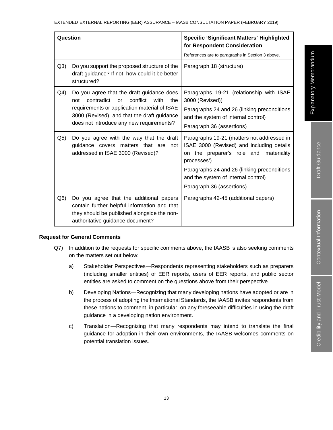| Question       |                                                                                                                                                                                                                                            | <b>Specific 'Significant Matters' Highlighted</b><br>for Respondent Consideration                                                                                                                                                                                    |
|----------------|--------------------------------------------------------------------------------------------------------------------------------------------------------------------------------------------------------------------------------------------|----------------------------------------------------------------------------------------------------------------------------------------------------------------------------------------------------------------------------------------------------------------------|
|                |                                                                                                                                                                                                                                            | References are to paragraphs in Section 3 above.                                                                                                                                                                                                                     |
| Q3)            | Do you support the proposed structure of the<br>draft guidance? If not, how could it be better<br>structured?                                                                                                                              | Paragraph 18 (structure)                                                                                                                                                                                                                                             |
| Q <sub>4</sub> | Do you agree that the draft guidance does<br>contradict<br>conflict<br>with<br>the<br>not<br>or<br>requirements or application material of ISAE<br>3000 (Revised), and that the draft guidance<br>does not introduce any new requirements? | Paragraphs 19-21 (relationship with ISAE<br>3000 (Revised))<br>Paragraphs 24 and 26 (linking preconditions<br>and the system of internal control)<br>Paragraph 36 (assertions)                                                                                       |
| Q <sub>5</sub> | Do you agree with the way that the draft<br>guidance covers matters that are<br>not<br>addressed in ISAE 3000 (Revised)?                                                                                                                   | Paragraphs 19-21 (matters not addressed in<br>ISAE 3000 (Revised) and including details<br>on the preparer's role and 'materiality<br>processes')<br>Paragraphs 24 and 26 (linking preconditions<br>and the system of internal control)<br>Paragraph 36 (assertions) |
| Q6)            | Do you agree that the additional papers<br>contain further helpful information and that<br>they should be published alongside the non-<br>authoritative guidance document?                                                                 | Paragraphs 42-45 (additional papers)                                                                                                                                                                                                                                 |

#### **Request for General Comments**

- Q7) In addition to the requests for specific comments above, the IAASB is also seeking comments on the matters set out below:
	- a) Stakeholder Perspectives—Respondents representing stakeholders such as preparers (including smaller entities) of EER reports, users of EER reports, and public sector entities are asked to comment on the questions above from their perspective.
	- b) Developing Nations—Recognizing that many developing nations have adopted or are in the process of adopting the International Standards, the IAASB invites respondents from these nations to comment, in particular, on any foreseeable difficulties in using the draft guidance in a developing nation environment.
	- c) Translation—Recognizing that many respondents may intend to translate the final guidance for adoption in their own environments, the IAASB welcomes comments on potential translation issues.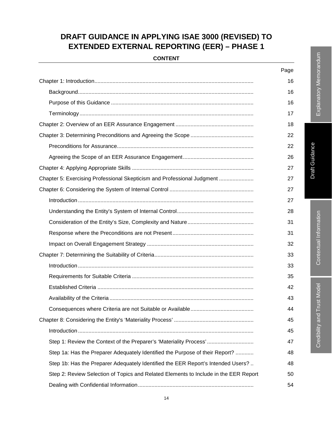# **DRAFT GUIDANCE IN APPLYING ISAE 3000 (REVISED) TO EXTENDED EXTERNAL REPORTING (EER) – PHASE 1**

| <b>CONTENT</b> |  |  |
|----------------|--|--|
|                |  |  |

|                                                                                      | Page |
|--------------------------------------------------------------------------------------|------|
|                                                                                      | 16   |
|                                                                                      | 16   |
|                                                                                      | 16   |
|                                                                                      | 17   |
|                                                                                      | 18   |
|                                                                                      | 22   |
|                                                                                      | 22   |
|                                                                                      | 26   |
|                                                                                      | 27   |
| Chapter 5: Exercising Professional Skepticism and Professional Judgment              | 27   |
|                                                                                      | 27   |
|                                                                                      | 27   |
|                                                                                      | 28   |
|                                                                                      | 31   |
|                                                                                      | 31   |
|                                                                                      | 32   |
|                                                                                      | 33   |
|                                                                                      | 33   |
|                                                                                      | 35   |
|                                                                                      | 42   |
|                                                                                      | 43   |
|                                                                                      | 44   |
|                                                                                      | 45   |
|                                                                                      | 45   |
| Step 1: Review the Context of the Preparer's 'Materiality Process'                   | 47   |
| Step 1a: Has the Preparer Adequately Identified the Purpose of their Report?         | 48   |
| Step 1b: Has the Preparer Adequately Identified the EER Report's Intended Users?     | 48   |
| Step 2: Review Selection of Topics and Related Elements to Include in the EER Report | 50   |
|                                                                                      | 54   |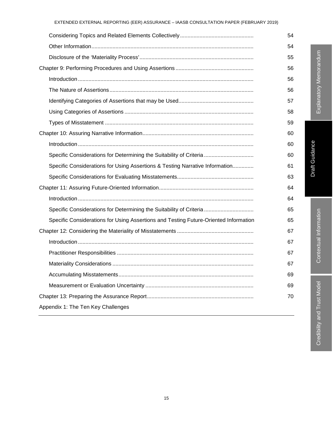|                                                                                      | 54 |
|--------------------------------------------------------------------------------------|----|
|                                                                                      | 54 |
|                                                                                      | 55 |
|                                                                                      | 56 |
|                                                                                      | 56 |
|                                                                                      | 56 |
|                                                                                      | 57 |
|                                                                                      | 58 |
|                                                                                      | 59 |
|                                                                                      | 60 |
|                                                                                      | 60 |
| Specific Considerations for Determining the Suitability of Criteria                  | 60 |
| Specific Considerations for Using Assertions & Testing Narrative Information         | 61 |
|                                                                                      | 63 |
|                                                                                      | 64 |
|                                                                                      | 64 |
| Specific Considerations for Determining the Suitability of Criteria                  | 65 |
| Specific Considerations for Using Assertions and Testing Future-Oriented Information | 65 |
|                                                                                      | 67 |
|                                                                                      | 67 |
|                                                                                      | 67 |
|                                                                                      | 67 |
|                                                                                      | 69 |
|                                                                                      | 69 |
|                                                                                      | 70 |
| Appendix 1: The Ten Key Challenges                                                   |    |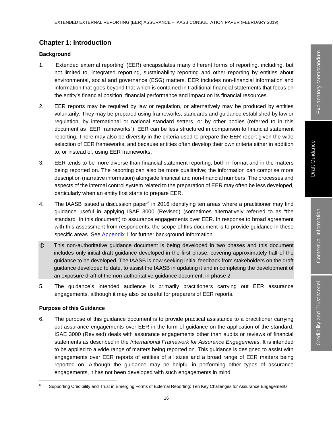## **Chapter 1: Introduction**

#### **Background**

- 1. 'Extended external reporting' (EER) encapsulates many different forms of reporting, including, but not limited to, integrated reporting, sustainability reporting and other reporting by entities about environmental, social and governance (ESG) matters. EER includes non-financial information and information that goes beyond that which is contained in traditional financial statements that focus on the entity's financial position, financial performance and impact on its financial resources.
- 2. EER reports may be required by law or regulation, or alternatively may be produced by entities voluntarily. They may be prepared using frameworks, standards and guidance established by law or regulation, by international or national standard setters, or by other bodies (referred to in this document as "EER frameworks"). EER can be less structured in comparison to financial statement reporting. There may also be diversity in the criteria used to prepare the EER report given the wide selection of EER frameworks, and because entities often develop their own criteria either in addition to, or instead of, using EER frameworks.
- 3. EER tends to be more diverse than financial statement reporting, both in format and in the matters being reported on. The reporting can also be more qualitative; the information can comprise more description (narrative information) alongside financial and non-financial numbers. The processes and aspects of the internal control system related to the preparation of EER may often be less developed, particularly when an entity first starts to prepare EER.
- 4. The IAASB issued a discussion paper<sup>6</sup> in 2016 identifying ten areas where a practitioner may find guidance useful in applying ISAE 3000 (Revised) (sometimes alternatively referred to as "the standard" in this document) to assurance engagements over EER. In response to broad agreement with this assessment from respondents, the scope of this document is to provide guidance in these specific areas. See Appendix 1 for further background information.
- This non-authoritative guidance document is being developed in two phases and this document includes only initial draft guidance developed in the first phase, covering approximately half of the guidance to be developed. The IAASB is now seeking initial feedback from stakeholders on the draft guidance developed to date, to assist the IAASB in updating it and in completing the development of an exposure draft of the non-authoritative guidance document, in phase 2.
- 5. The guidance's intended audience is primarily practitioners carrying out EER assurance engagements, although it may also be useful for preparers of EER reports.

#### **Purpose of this Guidance**

6. The purpose of this guidance document is to provide practical assistance to a practitioner carrying out assurance engagements over EER in the form of guidance on the application of the standard. ISAE 3000 (Revised) deals with assurance engagements other than audits or reviews of financial statements as described in the *International Framework for Assurance Engagements*. It is intended to be applied to a wide range of matters being reported on. This guidance is designed to assist with engagements over EER reports of entities of all sizes and a broad range of EER matters being reported on. Although the guidance may be helpful in performing other types of assurance engagements, it has not been developed with such engagements in mind.

Supporting Credibility and Trust in Emerging Forms of External Reporting: Ten Key Challenges for Assurance Engagements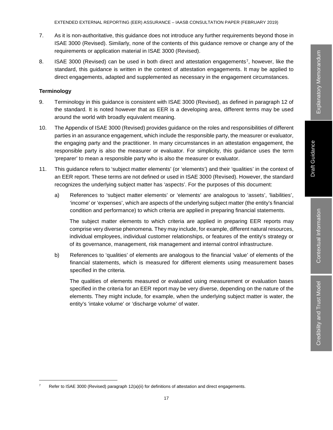EXTENDED EXTERNAL REPORTING (EER) ASSURANCE – IAASB CONSULTATION PAPER (FEBRUARY 2019)

- 7. As it is non-authoritative, this guidance does not introduce any further requirements beyond those in ISAE 3000 (Revised). Similarly, none of the contents of this guidance remove or change any of the requirements or application material in ISAE 3000 (Revised).
- 8. ISAE 3000 (Revised) can be used in both direct and attestation engagements7, however, like the standard, this guidance is written in the context of attestation engagements. It may be applied to direct engagements, adapted and supplemented as necessary in the engagement circumstances.

#### **Terminology**

- 9. Terminology in this guidance is consistent with ISAE 3000 (Revised), as defined in paragraph 12 of the standard. It is noted however that as EER is a developing area, different terms may be used around the world with broadly equivalent meaning.
- 10. The Appendix of ISAE 3000 (Revised) provides guidance on the roles and responsibilities of different parties in an assurance engagement, which include the responsible party, the measurer or evaluator, the engaging party and the practitioner. In many circumstances in an attestation engagement, the responsible party is also the measurer or evaluator. For simplicity, this guidance uses the term 'preparer' to mean a responsible party who is also the measurer or evaluator.
- 11. This guidance refers to 'subject matter elements' (or 'elements') and their 'qualities' in the context of an EER report. These terms are not defined or used in ISAE 3000 (Revised). However, the standard recognizes the underlying subject matter has 'aspects'. For the purposes of this document:
	- a) References to 'subject matter elements' or 'elements' are analogous to 'assets', 'liabilities', 'income' or 'expenses', which are aspects of the underlying subject matter (the entity's financial condition and performance) to which criteria are applied in preparing financial statements.

The subject matter elements to which criteria are applied in preparing EER reports may comprise very diverse phenomena. They may include, for example, different natural resources, individual employees, individual customer relationships, or features of the entity's strategy or of its governance, management, risk management and internal control infrastructure.

b) References to 'qualities' of elements are analogous to the financial 'value' of elements of the financial statements, which is measured for different elements using measurement bases specified in the criteria.

The qualities of elements measured or evaluated using measurement or evaluation bases specified in the criteria for an EER report may be very diverse, depending on the nature of the elements. They might include, for example, when the underlying subject matter is water, the entity's 'intake volume' or 'discharge volume' of water.

Refer to ISAE 3000 (Revised) paragraph 12(a)(ii) for definitions of attestation and direct engagements.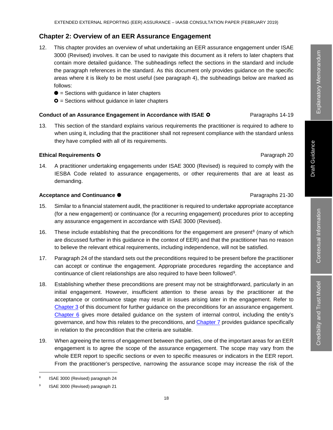#### **Chapter 2: Overview of an EER Assurance Engagement**

- 12. This chapter provides an overview of what undertaking an EER assurance engagement under ISAE 3000 (Revised) involves. It can be used to navigate this document as it refers to later chapters that contain more detailed guidance. The subheadings reflect the sections in the standard and include the paragraph references in the standard. As this document only provides guidance on the specific areas where it is likely to be most useful (see paragraph 4), the subheadings below are marked as follows:
	- $\bullet$  = Sections with guidance in later chapters
	- $\bullet$  = Sections without guidance in later chapters

#### **Conduct of an Assurance Engagement in Accordance with ISAE O** Paragraphs 14-19

13. This section of the standard explains various requirements the practitioner is required to adhere to when using it, including that the practitioner shall not represent compliance with the standard unless they have complied with all of its requirements.

#### **Ethical Requirements O Paragraph 20**

14. A practitioner undertaking engagements under ISAE 3000 (Revised) is required to comply with the IESBA Code related to assurance engagements, or other requirements that are at least as demanding.

#### **Acceptance and Continuance ●** Paragraphs 21-30

- 15. Similar to a financial statement audit, the practitioner is required to undertake appropriate acceptance (for a new engagement) or continuance (for a recurring engagement) procedures prior to accepting any assurance engagement in accordance with ISAE 3000 (Revised).
- 16. These include establishing that the preconditions for the engagement are present<sup>8</sup> (many of which are discussed further in this guidance in the context of EER) and that the practitioner has no reason to believe the relevant ethical requirements, including independence, will not be satisfied.
- 17. Paragraph 24 of the standard sets out the preconditions required to be present before the practitioner can accept or continue the engagement. Appropriate procedures regarding the acceptance and continuance of client relationships are also required to have been followed<sup>9</sup>.
- 18. Establishing whether these preconditions are present may not be straightforward, particularly in an initial engagement. However, insufficient attention to these areas by the practitioner at the acceptance or continuance stage may result in issues arising later in the engagement. Refer to Chapter 3 of this document for further guidance on the preconditions for an assurance engagement. Chapter 6 gives more detailed guidance on the system of internal control, including the entity's governance, and how this relates to the preconditions, and Chapter 7 provides guidance specifically in relation to the precondition that the criteria are suitable.
- 19. When agreeing the terms of engagement between the parties, one of the important areas for an EER engagement is to agree the scope of the assurance engagement. The scope may vary from the whole EER report to specific sections or even to specific measures or indicators in the EER report. From the practitioner's perspective, narrowing the assurance scope may increase the risk of the

 <sup>8</sup> ISAE 3000 (Revised) paragraph 24

ISAE 3000 (Revised) paragraph 21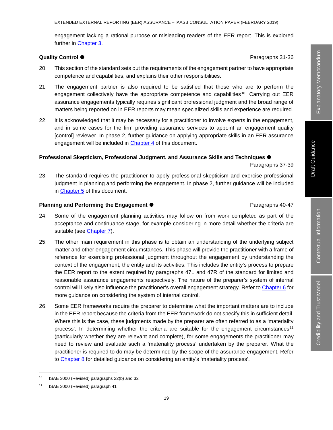engagement lacking a rational purpose or misleading readers of the EER report. This is explored further in Chapter 3.

#### **Quality Control ●** 2012年2月20日 2012年2月20日 2012年2月20日 2012年2月20日 2022年2月20日 2022年2月20日 2022年2月20日 2022年2月20日 2022年2月20日 2022年2月20日 2022年2月20日 2022年2月20日 2022年2月20日 2022年2月20日 2022年2月20日 2022年2月20日 2022年2月20日 2022年2月20日 202

- 20. This section of the standard sets out the requirements of the engagement partner to have appropriate competence and capabilities, and explains their other responsibilities.
- 21. The engagement partner is also required to be satisfied that those who are to perform the engagement collectively have the appropriate competence and capabilities<sup>10</sup>. Carrying out EER assurance engagements typically requires significant professional judgment and the broad range of matters being reported on in EER reports may mean specialized skills and experience are required.
- 22. It is acknowledged that it may be necessary for a practitioner to involve experts in the engagement, and in some cases for the firm providing assurance services to appoint an engagement quality [control] reviewer. In phase 2, further guidance on applying appropriate skills in an EER assurance engagement will be included in Chapter 4 of this document.

#### **Professional Skepticism, Professional Judgment, and Assurance Skills and Techniques**

#### Paragraphs 37-39

23. The standard requires the practitioner to apply professional skepticism and exercise professional judgment in planning and performing the engagement. In phase 2, further guidance will be included in Chapter 5 of this document.

#### **Planning and Performing the Engagement**  $\bullet$  Paragraphs 40-47

- 24. Some of the engagement planning activities may follow on from work completed as part of the acceptance and continuance stage, for example considering in more detail whether the criteria are suitable (see Chapter 7).
- 25. The other main requirement in this phase is to obtain an understanding of the underlying subject matter and other engagement circumstances. This phase will provide the practitioner with a frame of reference for exercising professional judgment throughout the engagement by understanding the context of the engagement, the entity and its activities. This includes the entity's process to prepare the EER report to the extent required by paragraphs 47L and 47R of the standard for limited and reasonable assurance engagements respectively. The nature of the preparer's system of internal control will likely also influence the practitioner's overall engagement strategy. Refer to Chapter 6 for more guidance on considering the system of internal control.
- 26. Some EER frameworks require the preparer to determine what the important matters are to include in the EER report because the criteria from the EER framework do not specify this in sufficient detail. Where this is the case, these judgments made by the preparer are often referred to as a 'materiality process'. In determining whether the criteria are suitable for the engagement circumstances<sup>11</sup> (particularly whether they are relevant and complete), for some engagements the practitioner may need to review and evaluate such a 'materiality process' undertaken by the preparer. What the practitioner is required to do may be determined by the scope of the assurance engagement. Refer to Chapter 8 for detailed guidance on considering an entity's 'materiality process'.

 <sup>10</sup> ISAE 3000 (Revised) paragraphs 22(b) and 32

<sup>11</sup> ISAE 3000 (Revised) paragraph 41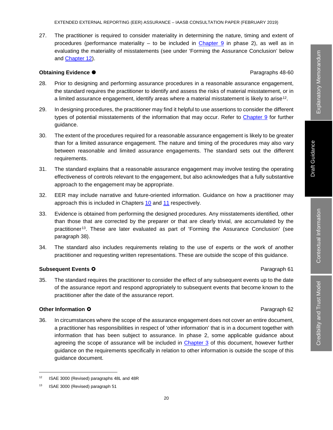27. The practitioner is required to consider materiality in determining the nature, timing and extent of procedures (performance materiality – to be included in Chapter 9 in phase 2), as well as in evaluating the materiality of misstatements (see under 'Forming the Assurance Conclusion' below and Chapter 12).

#### **Obtaining Evidence ●** Paragraphs 48-60

- 28. Prior to designing and performing assurance procedures in a reasonable assurance engagement, the standard requires the practitioner to identify and assess the risks of material misstatement, or in a limited assurance engagement, identify areas where a material misstatement is likely to arise<sup>12</sup>.
- 29. In designing procedures, the practitioner may find it helpful to use assertions to consider the different types of potential misstatements of the information that may occur. Refer to Chapter 9 for further guidance.
- 30. The extent of the procedures required for a reasonable assurance engagement is likely to be greater than for a limited assurance engagement. The nature and timing of the procedures may also vary between reasonable and limited assurance engagements. The standard sets out the different requirements.
- 31. The standard explains that a reasonable assurance engagement may involve testing the operating effectiveness of controls relevant to the engagement, but also acknowledges that a fully substantive approach to the engagement may be appropriate.
- 32. EER may include narrative and future-oriented information. Guidance on how a practitioner may approach this is included in Chapters 10 and 11 respectively.
- 33. Evidence is obtained from performing the designed procedures. Any misstatements identified, other than those that are corrected by the preparer or that are clearly trivial, are accumulated by the practitioner13. These are later evaluated as part of 'Forming the Assurance Conclusion' (see paragraph 38).
- 34. The standard also includes requirements relating to the use of experts or the work of another practitioner and requesting written representations. These are outside the scope of this guidance.

#### **Subsequent Events O Paragraph 61**

35. The standard requires the practitioner to consider the effect of any subsequent events up to the date of the assurance report and respond appropriately to subsequent events that become known to the practitioner after the date of the assurance report.

#### **Other Information O Paragraph 62**

36. In circumstances where the scope of the assurance engagement does not cover an entire document, a practitioner has responsibilities in respect of 'other information' that is in a document together with information that has been subject to assurance. In phase 2, some applicable guidance about agreeing the scope of assurance will be included in Chapter 3 of this document, however further guidance on the requirements specifically in relation to other information is outside the scope of this guidance document.

 <sup>12</sup> ISAE 3000 (Revised) paragraphs 48L and 48R

<sup>13</sup> ISAE 3000 (Revised) paragraph 51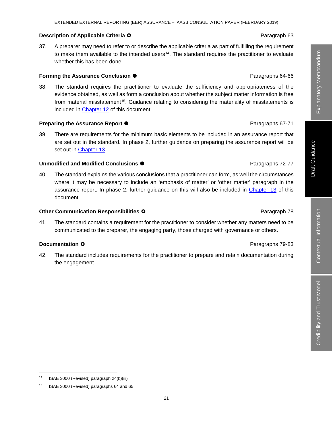#### **Description of Applicable Criteria O Paragraph 63 Paragraph 63**

37. A preparer may need to refer to or describe the applicable criteria as part of fulfilling the requirement to make them available to the intended users<sup>14</sup>. The standard requires the practitioner to evaluate whether this has been done.

#### **Forming the Assurance Conclusion**  $\bullet$

38. The standard requires the practitioner to evaluate the sufficiency and appropriateness of the evidence obtained, as well as form a conclusion about whether the subject matter information is free from material misstatement<sup>15</sup>. Guidance relating to considering the materiality of misstatements is included in Chapter 12 of this document.

#### **Preparing the Assurance Report**  $\bullet$

39. There are requirements for the minimum basic elements to be included in an assurance report that are set out in the standard. In phase 2, further guidance on preparing the assurance report will be set out in Chapter 13.

#### **Unmodified and Modified Conclusions**  $\bullet$  **Paragraphs 72-77**

40. The standard explains the various conclusions that a practitioner can form, as well the circumstances where it may be necessary to include an 'emphasis of matter' or 'other matter' paragraph in the assurance report. In phase 2, further guidance on this will also be included in Chapter 13 of this document.

#### **Other Communication Responsibilities O Paragraph 78 Paragraph 78**

41. The standard contains a requirement for the practitioner to consider whether any matters need to be communicated to the preparer, the engaging party, those charged with governance or others.

#### **Documentation O Paragraphs 79-83**

42. The standard includes requirements for the practitioner to prepare and retain documentation during the engagement.

14 ISAE 3000 (Revised) paragraph 24(b)(iii)

# Explanatory Memorandum Explanatory Memorandum

Draft Guidance

**Draft Guidance** 

<sup>&</sup>lt;sup>15</sup> ISAE 3000 (Revised) paragraphs 64 and 65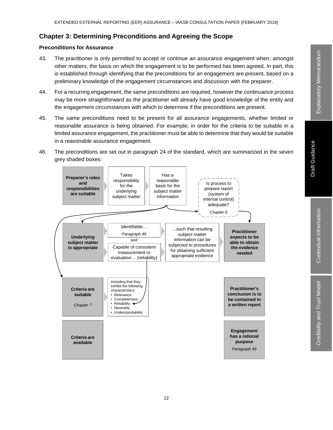#### **Chapter 3: Determining Preconditions and Agreeing the Scope**

#### **Preconditions for Assurance**

- 43. The practitioner is only permitted to accept or continue an assurance engagement when, amongst other matters, the basis on which the engagement is to be performed has been agreed. In part, this is established through identifying that the preconditions for an engagement are present, based on a preliminary knowledge of the engagement circumstances and discussion with the preparer.
- 44. For a recurring engagement, the same preconditions are required, however the continuance process may be more straightforward as the practitioner will already have good knowledge of the entity and the engagement circumstances with which to determine if the preconditions are present.
- 45. The same preconditions need to be present for all assurance engagements, whether limited or reasonable assurance is being obtained. For example, in order for the criteria to be suitable in a limited assurance engagement, the practitioner must be able to determine that they would be suitable in a reasonable assurance engagement.
- 46. The preconditions are set out in paragraph 24 of the standard, which are summarized in the seven grey shaded boxes:

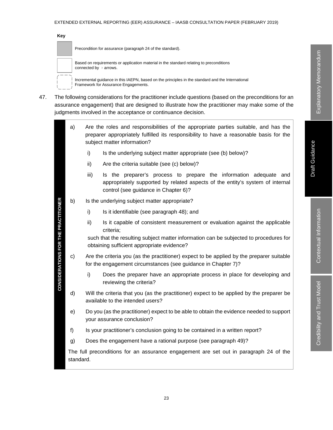| Key |                                                                                                                                           |
|-----|-------------------------------------------------------------------------------------------------------------------------------------------|
|     | Precondition for assurance (paragraph 24 of the standard).                                                                                |
|     | Based on requirements or application material in the standard relating to preconditions<br>connected by $\triangleright$ arrows.          |
|     | Incremental guidance in this IAEPN, based on the principles in the standard and the International<br>Framework for Assurance Engagements. |

47. The following considerations for the practitioner include questions (based on the preconditions for an assurance engagement) that are designed to illustrate how the practitioner may make some of the judgments involved in the acceptance or continuance decision.

| a)        |      | Are the roles and responsibilities of the appropriate parties suitable, and has the<br>preparer appropriately fulfilled its responsibility to have a reasonable basis for the<br>subject matter information? |
|-----------|------|--------------------------------------------------------------------------------------------------------------------------------------------------------------------------------------------------------------|
|           | i)   | Is the underlying subject matter appropriate (see (b) below)?                                                                                                                                                |
|           | ii)  | Are the criteria suitable (see (c) below)?                                                                                                                                                                   |
|           | iii) | Is the preparer's process to prepare the information adequate and<br>appropriately supported by related aspects of the entity's system of internal<br>control (see guidance in Chapter 6)?                   |
| b)        |      | Is the underlying subject matter appropriate?                                                                                                                                                                |
|           | i)   | Is it identifiable (see paragraph 48); and                                                                                                                                                                   |
|           | ii)  | Is it capable of consistent measurement or evaluation against the applicable<br>criteria;                                                                                                                    |
|           |      | such that the resulting subject matter information can be subjected to procedures for<br>obtaining sufficient appropriate evidence?                                                                          |
| c)        |      | Are the criteria you (as the practitioner) expect to be applied by the preparer suitable<br>for the engagement circumstances (see guidance in Chapter 7)?                                                    |
|           | i)   | Does the preparer have an appropriate process in place for developing and<br>reviewing the criteria?                                                                                                         |
| d)        |      | Will the criteria that you (as the practitioner) expect to be applied by the preparer be<br>available to the intended users?                                                                                 |
| e)        |      | Do you (as the practitioner) expect to be able to obtain the evidence needed to support<br>your assurance conclusion?                                                                                        |
| f)        |      | Is your practitioner's conclusion going to be contained in a written report?                                                                                                                                 |
| g)        |      | Does the engagement have a rational purpose (see paragraph 49)?                                                                                                                                              |
| standard. |      | The full preconditions for an assurance engagement are set out in paragraph 24 of the                                                                                                                        |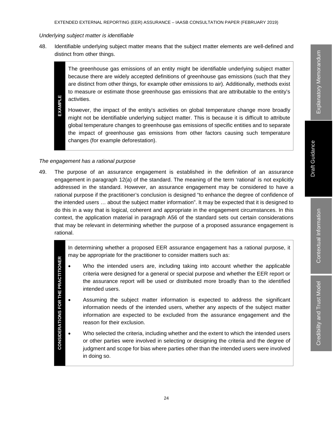#### *Underlying subject matter is identifiable*

48. Identifiable underlying subject matter means that the subject matter elements are well-defined and distinct from other things.

The greenhouse gas emissions of an entity might be identifiable underlying subject matter because there are widely accepted definitions of greenhouse gas emissions (such that they are distinct from other things, for example other emissions to air). Additionally, methods exist to measure or estimate those greenhouse gas emissions that are attributable to the entity's activities.

EXAMPLE **EXAMPLE** However, the impact of the entity's activities on global temperature change more broadly might not be identifiable underlying subject matter. This is because it is difficult to attribute global temperature changes to greenhouse gas emissions of specific entities and to separate the impact of greenhouse gas emissions from other factors causing such temperature changes (for example deforestation).

#### *The engagement has a rational purpose*

**CONSIDERATIONS FOR THE PRACTITIONER**

49. The purpose of an assurance engagement is established in the definition of an assurance engagement in paragraph 12(a) of the standard. The meaning of the term 'rational' is not explicitly addressed in the standard. However, an assurance engagement may be considered to have a rational purpose if the practitioner's conclusion is designed "to enhance the degree of confidence of the intended users … about the subject matter information". It may be expected that it is designed to do this in a way that is logical, coherent and appropriate in the engagement circumstances. In this context, the application material in paragraph A56 of the standard sets out certain considerations that may be relevant in determining whether the purpose of a proposed assurance engagement is rational.

> In determining whether a proposed EER assurance engagement has a rational purpose, it may be appropriate for the practitioner to consider matters such as:

- **CONSIDERATIONS FOR THE PRACTITIONER** Who the intended users are, including taking into account whether the applicable criteria were designed for a general or special purpose and whether the EER report or the assurance report will be used or distributed more broadly than to the identified intended users.
	- Assuming the subject matter information is expected to address the significant information needs of the intended users, whether any aspects of the subject matter information are expected to be excluded from the assurance engagement and the reason for their exclusion.
	- Who selected the criteria, including whether and the extent to which the intended users or other parties were involved in selecting or designing the criteria and the degree of judgment and scope for bias where parties other than the intended users were involved in doing so.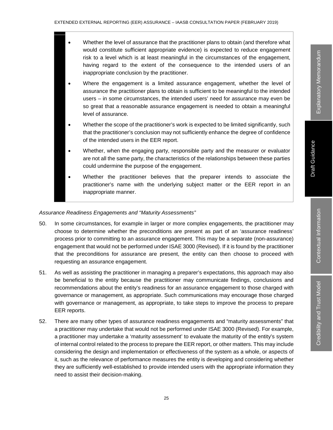- Whether the level of assurance that the practitioner plans to obtain (and therefore what would constitute sufficient appropriate evidence) is expected to reduce engagement risk to a level which is at least meaningful in the circumstances of the engagement, having regard to the extent of the consequence to the intended users of an inappropriate conclusion by the practitioner.
- Where the engagement is a limited assurance engagement, whether the level of assurance the practitioner plans to obtain is sufficient to be meaningful to the intended users – in some circumstances, the intended users' need for assurance may even be so great that a reasonable assurance engagement is needed to obtain a meaningful level of assurance.
- Whether the scope of the practitioner's work is expected to be limited significantly, such that the practitioner's conclusion may not sufficiently enhance the degree of confidence of the intended users in the EER report.
- Whether, when the engaging party, responsible party and the measurer or evaluator are not all the same party, the characteristics of the relationships between these parties could undermine the purpose of the engagement.
- Whether the practitioner believes that the preparer intends to associate the practitioner's name with the underlying subject matter or the EER report in an inappropriate manner.

#### *Assurance Readiness Engagements and "Maturity Assessments"*

- 50. In some circumstances, for example in larger or more complex engagements, the practitioner may choose to determine whether the preconditions are present as part of an 'assurance readiness' process prior to committing to an assurance engagement. This may be a separate (non-assurance) engagement that would not be performed under ISAE 3000 (Revised). If it is found by the practitioner that the preconditions for assurance are present, the entity can then choose to proceed with requesting an assurance engagement.
- 51. As well as assisting the practitioner in managing a preparer's expectations, this approach may also be beneficial to the entity because the practitioner may communicate findings, conclusions and recommendations about the entity's readiness for an assurance engagement to those charged with governance or management, as appropriate. Such communications may encourage those charged with governance or management, as appropriate, to take steps to improve the process to prepare EER reports.
- 52. There are many other types of assurance readiness engagements and "maturity assessments" that a practitioner may undertake that would not be performed under ISAE 3000 (Revised). For example, a practitioner may undertake a 'maturity assessment' to evaluate the maturity of the entity's system of internal control related to the process to prepare the EER report, or other matters. This may include considering the design and implementation or effectiveness of the system as a whole, or aspects of it, such as the relevance of performance measures the entity is developing and considering whether they are sufficiently well-established to provide intended users with the appropriate information they need to assist their decision-making.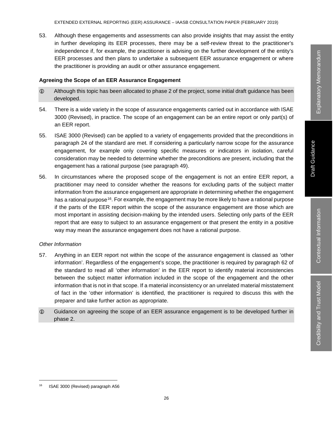53. Although these engagements and assessments can also provide insights that may assist the entity in further developing its EER processes, there may be a self-review threat to the practitioner's independence if, for example, the practitioner is advising on the further development of the entity's EER processes and then plans to undertake a subsequent EER assurance engagement or where the practitioner is providing an audit or other assurance engagement.

#### **Agreeing the Scope of an EER Assurance Engagement**

- Although this topic has been allocated to phase 2 of the project, some initial draft guidance has been developed.
- 54. There is a wide variety in the scope of assurance engagements carried out in accordance with ISAE 3000 (Revised), in practice. The scope of an engagement can be an entire report or only part(s) of an EER report.
- 55. ISAE 3000 (Revised) can be applied to a variety of engagements provided that the preconditions in paragraph 24 of the standard are met. If considering a particularly narrow scope for the assurance engagement, for example only covering specific measures or indicators in isolation, careful consideration may be needed to determine whether the preconditions are present, including that the engagement has a rational purpose (see paragraph 49).
- 56. In circumstances where the proposed scope of the engagement is not an entire EER report, a practitioner may need to consider whether the reasons for excluding parts of the subject matter information from the assurance engagement are appropriate in determining whether the engagement has a rational purpose<sup>16</sup>. For example, the engagement may be more likely to have a rational purpose if the parts of the EER report within the scope of the assurance engagement are those which are most important in assisting decision-making by the intended users. Selecting only parts of the EER report that are easy to subject to an assurance engagement or that present the entity in a positive way may mean the assurance engagement does not have a rational purpose.

#### *Other Information*

- 57. Anything in an EER report not within the scope of the assurance engagement is classed as 'other information'. Regardless of the engagement's scope, the practitioner is required by paragraph 62 of the standard to read all 'other information' in the EER report to identify material inconsistencies between the subject matter information included in the scope of the engagement and the other information that is not in that scope. If a material inconsistency or an unrelated material misstatement of fact in the 'other information' is identified, the practitioner is required to discuss this with the preparer and take further action as appropriate.
- Guidance on agreeing the scope of an EER assurance engagement is to be developed further in phase 2.

 <sup>16</sup> ISAE 3000 (Revised) paragraph A56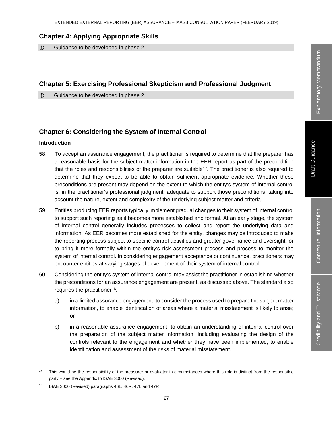#### **Chapter 4: Applying Appropriate Skills**

Guidance to be developed in phase 2.

#### **Chapter 5: Exercising Professional Skepticism and Professional Judgment**

Guidance to be developed in phase 2.

## **Chapter 6: Considering the System of Internal Control**

#### **Introduction**

- 58. To accept an assurance engagement, the practitioner is required to determine that the preparer has a reasonable basis for the subject matter information in the EER report as part of the precondition that the roles and responsibilities of the preparer are suitable<sup>17</sup>. The practitioner is also required to determine that they expect to be able to obtain sufficient appropriate evidence. Whether these preconditions are present may depend on the extent to which the entity's system of internal control is, in the practitioner's professional judgment, adequate to support those preconditions, taking into account the nature, extent and complexity of the underlying subject matter and criteria.
- 59. Entities producing EER reports typically implement gradual changes to their system of internal control to support such reporting as it becomes more established and formal. At an early stage, the system of internal control generally includes processes to collect and report the underlying data and information. As EER becomes more established for the entity, changes may be introduced to make the reporting process subject to specific control activities and greater governance and oversight, or to bring it more formally within the entity's risk assessment process and process to monitor the system of internal control. In considering engagement acceptance or continuance, practitioners may encounter entities at varying stages of development of their system of internal control.
- 60. Considering the entity's system of internal control may assist the practitioner in establishing whether the preconditions for an assurance engagement are present, as discussed above. The standard also requires the practitioner<sup>18</sup>:
	- a) in a limited assurance engagement, to consider the process used to prepare the subject matter information, to enable identification of areas where a material misstatement is likely to arise; or
	- b) in a reasonable assurance engagement, to obtain an understanding of internal control over the preparation of the subject matter information, including evaluating the design of the controls relevant to the engagement and whether they have been implemented, to enable identification and assessment of the risks of material misstatement.

<sup>&</sup>lt;sup>17</sup> This would be the responsibility of the measurer or evaluator in circumstances where this role is distinct from the responsible party – see the Appendix to ISAE 3000 (Revised).

<sup>18</sup> ISAE 3000 (Revised) paragraphs 46L, 46R, 47L and 47R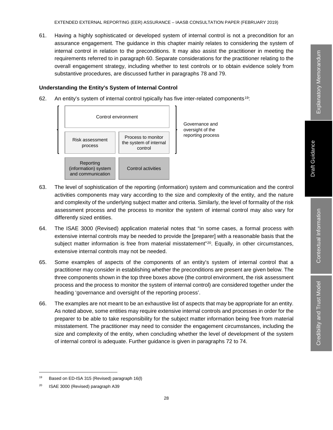61. Having a highly sophisticated or developed system of internal control is not a precondition for an assurance engagement. The guidance in this chapter mainly relates to considering the system of internal control in relation to the preconditions. It may also assist the practitioner in meeting the requirements referred to in paragraph 60. Separate considerations for the practitioner relating to the overall engagement strategy, including whether to test controls or to obtain evidence solely from substantive procedures, are discussed further in paragraphs 78 and 79.

#### **Understanding the Entity's System of Internal Control**

62. An entity's system of internal control typically has five inter-related components19:



- 63. The level of sophistication of the reporting (information) system and communication and the control activities components may vary according to the size and complexity of the entity, and the nature and complexity of the underlying subject matter and criteria. Similarly, the level of formality of the risk assessment process and the process to monitor the system of internal control may also vary for differently sized entities.
- 64. The ISAE 3000 (Revised) application material notes that "in some cases, a formal process with extensive internal controls may be needed to provide the [preparer] with a reasonable basis that the subject matter information is free from material misstatement"<sup>20</sup>. Equally, in other circumstances, extensive internal controls may not be needed.
- 65. Some examples of aspects of the components of an entity's system of internal control that a practitioner may consider in establishing whether the preconditions are present are given below. The three components shown in the top three boxes above (the control environment, the risk assessment process and the process to monitor the system of internal control) are considered together under the heading 'governance and oversight of the reporting process'.
- 66. The examples are not meant to be an exhaustive list of aspects that may be appropriate for an entity. As noted above, some entities may require extensive internal controls and processes in order for the preparer to be able to take responsibility for the subject matter information being free from material misstatement. The practitioner may need to consider the engagement circumstances, including the size and complexity of the entity, when concluding whether the level of development of the system of internal control is adequate. Further guidance is given in paragraphs 72 to 74.

 <sup>19</sup> Based on ED-ISA 315 (Revised) paragraph 16(l)

<sup>20</sup> ISAE 3000 (Revised) paragraph A39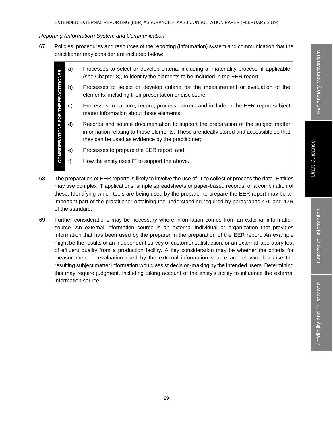#### *Reporting (Information) System and Communication*

67. Policies, procedures and resources of the reporting (information) system and communication that the practitioner may consider are included below:

|                                            | a) | Processes to select or develop criteria, including a 'materiality process' if applicable<br>(see Chapter 8), to identify the elements to be included in the EER report;                                                           |  |
|--------------------------------------------|----|-----------------------------------------------------------------------------------------------------------------------------------------------------------------------------------------------------------------------------------|--|
|                                            | b) | Processes to select or develop criteria for the measurement or evaluation of the<br>elements, including their presentation or disclosure;                                                                                         |  |
|                                            | C) | Processes to capture, record, process, correct and include in the EER report subject<br>matter information about those elements;                                                                                                  |  |
| <b>CONSIDERATIONS FOR THE PRACTITIONER</b> | d) | Records and source documentation to support the preparation of the subject matter<br>information relating to those elements. These are ideally stored and accessible so that<br>they can be used as evidence by the practitioner; |  |
|                                            | e) | Processes to prepare the EER report; and                                                                                                                                                                                          |  |
|                                            |    | How the entity uses IT to support the above.                                                                                                                                                                                      |  |
|                                            |    |                                                                                                                                                                                                                                   |  |

- 68. The preparation of EER reports is likely to involve the use of IT to collect or process the data. Entities may use complex IT applications, simple spreadsheets or paper-based records, or a combination of these. Identifying which tools are being used by the preparer to prepare the EER report may be an important part of the practitioner obtaining the understanding required by paragraphs 47L and 47R of the standard.
- 69. Further considerations may be necessary where information comes from an external information source. An external information source is an external individual or organization that provides information that has been used by the preparer in the preparation of the EER report. An example might be the results of an independent survey of customer satisfaction, or an external laboratory test of effluent quality from a production facility. A key consideration may be whether the criteria for measurement or evaluation used by the external information source are relevant because the resulting subject matter information would assist decision-making by the intended users. Determining this may require judgment, including taking account of the entity's ability to influence the external information source.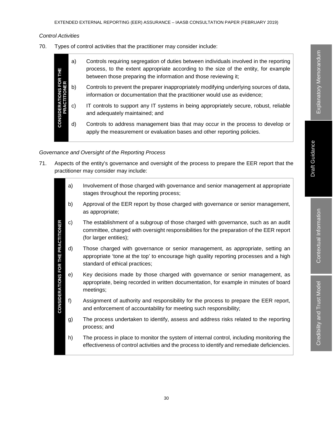Credibility and Trust Model

Credibility and Trust Model

#### *Control Activities*

70. Types of control activities that the practitioner may consider include:

| 쀭<br>$\propto$<br>TIONS I<br>TITIONE<br><b>CONSID</b> | a) | Controls requiring segregation of duties between individuals involved in the reporting<br>process, to the extent appropriate according to the size of the entity, for example<br>between those preparing the information and those reviewing it; |
|-------------------------------------------------------|----|--------------------------------------------------------------------------------------------------------------------------------------------------------------------------------------------------------------------------------------------------|
|                                                       | b) | Controls to prevent the preparer inappropriately modifying underlying sources of data,<br>information or documentation that the practitioner would use as evidence;                                                                              |
|                                                       | C) | IT controls to support any IT systems in being appropriately secure, robust, reliable<br>and adequately maintained; and                                                                                                                          |
|                                                       | d) | Controls to address management bias that may occur in the process to develop or<br>apply the measurement or evaluation bases and other reporting policies.                                                                                       |

#### *Governance and Oversight of the Reporting Process*

71. Aspects of the entity's governance and oversight of the process to prepare the EER report that the practitioner may consider may include:

|                                            | a) | Involvement of those charged with governance and senior management at appropriate<br>stages throughout the reporting process;                                                                              |  |  |  |
|--------------------------------------------|----|------------------------------------------------------------------------------------------------------------------------------------------------------------------------------------------------------------|--|--|--|
|                                            | b) | Approval of the EER report by those charged with governance or senior management,<br>as appropriate;                                                                                                       |  |  |  |
|                                            | c) | The establishment of a subgroup of those charged with governance, such as an audit<br>committee, charged with oversight responsibilities for the preparation of the EER report<br>(for larger entities);   |  |  |  |
|                                            | d) | Those charged with governance or senior management, as appropriate, setting an<br>appropriate 'tone at the top' to encourage high quality reporting processes and a high<br>standard of ethical practices; |  |  |  |
| <b>CONSIDERATIONS FOR THE PRACTITIONER</b> | e) | Key decisions made by those charged with governance or senior management, as<br>appropriate, being recorded in written documentation, for example in minutes of board<br>meetings;                         |  |  |  |
|                                            | f) | Assignment of authority and responsibility for the process to prepare the EER report,<br>and enforcement of accountability for meeting such responsibility;                                                |  |  |  |
|                                            | g) | The process undertaken to identify, assess and address risks related to the reporting<br>process; and                                                                                                      |  |  |  |
|                                            | h) | The process in place to monitor the system of internal control, including monitoring the<br>effectiveness of control activities and the process to identify and remediate deficiencies.                    |  |  |  |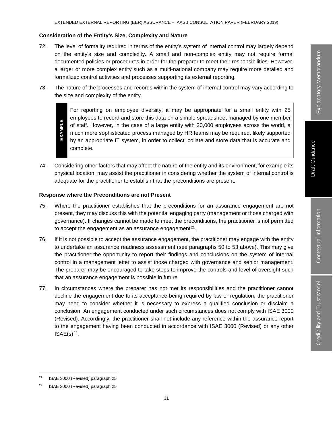#### **Consideration of the Entity's Size, Complexity and Nature**

- 72. The level of formality required in terms of the entity's system of internal control may largely depend on the entity's size and complexity. A small and non-complex entity may not require formal documented policies or procedures in order for the preparer to meet their responsibilities. However, a larger or more complex entity such as a multi-national company may require more detailed and formalized control activities and processes supporting its external reporting.
- 73. The nature of the processes and records within the system of internal control may vary according to the size and complexity of the entity.

For reporting on employee diversity, it may be appropriate for a small entity with 25 employees to record and store this data on a simple spreadsheet managed by one member EXAMPLE **EXAMPLE** of staff. However, in the case of a large entity with 20,000 employees across the world, a much more sophisticated process managed by HR teams may be required, likely supported by an appropriate IT system, in order to collect, collate and store data that is accurate and complete.

74. Considering other factors that may affect the nature of the entity and its environment, for example its physical location, may assist the practitioner in considering whether the system of internal control is adequate for the practitioner to establish that the preconditions are present.

#### **Response where the Preconditions are not Present**

- 75. Where the practitioner establishes that the preconditions for an assurance engagement are not present, they may discuss this with the potential engaging party (management or those charged with governance). If changes cannot be made to meet the preconditions, the practitioner is not permitted to accept the engagement as an assurance engagement $2<sup>1</sup>$ .
- 76. If it is not possible to accept the assurance engagement, the practitioner may engage with the entity to undertake an assurance readiness assessment (see paragraphs 50 to 53 above). This may give the practitioner the opportunity to report their findings and conclusions on the system of internal control in a management letter to assist those charged with governance and senior management. The preparer may be encouraged to take steps to improve the controls and level of oversight such that an assurance engagement is possible in future.
- 77. In circumstances where the preparer has not met its responsibilities and the practitioner cannot decline the engagement due to its acceptance being required by law or regulation, the practitioner may need to consider whether it is necessary to express a qualified conclusion or disclaim a conclusion. An engagement conducted under such circumstances does not comply with ISAE 3000 (Revised). Accordingly, the practitioner shall not include any reference within the assurance report to the engagement having been conducted in accordance with ISAE 3000 (Revised) or any other  $ISAE(s)<sup>22</sup>$ .

<sup>&</sup>lt;sup>21</sup> ISAE 3000 (Revised) paragraph 25

<sup>22</sup> ISAE 3000 (Revised) paragraph 25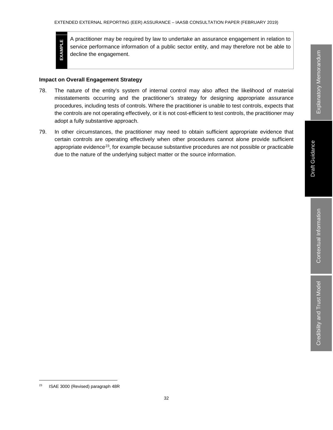EXAMPLE **EXAMPLE**

A practitioner may be required by law to undertake an assurance engagement in relation to service performance information of a public sector entity, and may therefore not be able to decline the engagement.

#### **Impact on Overall Engagement Strategy**

- 78. The nature of the entity's system of internal control may also affect the likelihood of material misstatements occurring and the practitioner's strategy for designing appropriate assurance procedures, including tests of controls. Where the practitioner is unable to test controls, expects that the controls are not operating effectively, or it is not cost-efficient to test controls, the practitioner may adopt a fully substantive approach.
- 79. In other circumstances, the practitioner may need to obtain sufficient appropriate evidence that certain controls are operating effectively when other procedures cannot alone provide sufficient appropriate evidence<sup>23</sup>, for example because substantive procedures are not possible or practicable due to the nature of the underlying subject matter or the source information.

 <sup>23</sup> ISAE 3000 (Revised) paragraph 48R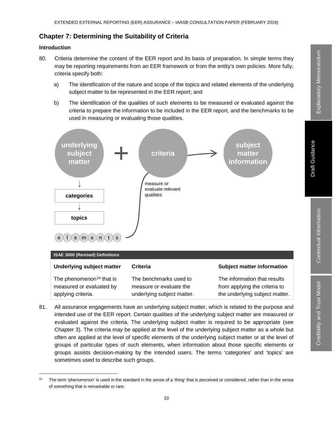## **Chapter 7: Determining the Suitability of Criteria**

#### **Introduction**

- 80. Criteria determine the content of the EER report and its basis of preparation. In simple terms they may be reporting requirements from an EER framework or from the entity's own policies. More fully, criteria specify both:
	- a) The identification of the nature and scope of the topics and related elements of the underlying subject matter to be represented in the EER report; and
	- b) The identification of the qualities of such elements to be measured or evaluated against the criteria to prepare the information to be included in the EER report, and the benchmarks to be used in measuring or evaluating those qualities.



81. All assurance engagements have an underlying subject matter, which is related to the purpose and intended use of the EER report. Certain qualities of the underlying subject matter are measured or evaluated against the criteria. The underlying subject matter is required to be appropriate (see Chapter 3). The criteria may be applied at the level of the underlying subject matter as a whole but often are applied at the level of specific elements of the underlying subject matter or at the level of groups of particular types of such elements, when information about those specific elements or groups assists decision-making by the intended users. The terms 'categories' and 'topics' are sometimes used to describe such groups.

<sup>&</sup>lt;sup>24</sup> The term 'phenomenon' is used in the standard in the sense of a 'thing' that is perceived or considered, rather than in the sense of something that is remarkable or rare.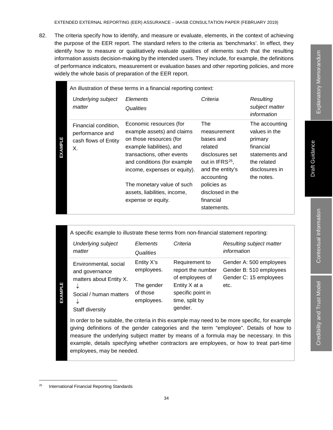82. The criteria specify how to identify, and measure or evaluate, elements, in the context of achieving the purpose of the EER report. The standard refers to the criteria as 'benchmarks'. In effect, they identify how to measure or qualitatively evaluate qualities of elements such that the resulting information assists decision-making by the intended users. They include, for example, the definitions of performance indicators, measurement or evaluation bases and other reporting policies, and more widely the whole basis of preparation of the EER report.

|         | An illustration of these terms in a financial reporting context:      |                                                                                                                                                                                                                                          |                                                                                                                                               |                                                                                                                          |  |  |  |
|---------|-----------------------------------------------------------------------|------------------------------------------------------------------------------------------------------------------------------------------------------------------------------------------------------------------------------------------|-----------------------------------------------------------------------------------------------------------------------------------------------|--------------------------------------------------------------------------------------------------------------------------|--|--|--|
|         | Underlying subject<br>matter                                          | Elements<br>Qualities                                                                                                                                                                                                                    | Criteria                                                                                                                                      | Resulting<br>subject matter<br>information                                                                               |  |  |  |
| EXAMPLE | Financial condition,<br>performance and<br>cash flows of Entity<br>Χ. | Economic resources (for<br>example assets) and claims<br>on those resources (for<br>example liabilities), and<br>transactions, other events<br>and conditions (for example<br>income, expenses or equity).<br>The monetary value of such | The<br>measurement<br>bases and<br>related<br>disclosures set<br>out in IFRS <sup>25</sup> ,<br>and the entity's<br>accounting<br>policies as | The accounting<br>values in the<br>primary<br>financial<br>statements and<br>the related<br>disclosures in<br>the notes. |  |  |  |
|         |                                                                       | assets, liabilities, income,<br>expense or equity.                                                                                                                                                                                       | disclosed in the<br>financial<br>statements.                                                                                                  |                                                                                                                          |  |  |  |

|  |  |  | A specific example to illustrate these terms from non-financial statement reporting: |  |
|--|--|--|--------------------------------------------------------------------------------------|--|
|  |  |  |                                                                                      |  |

| <b>Underlying subject</b>                                                                                                 | Elements                                                         | Criteria                                                                                                                  | Resulting subject matter                                                             |
|---------------------------------------------------------------------------------------------------------------------------|------------------------------------------------------------------|---------------------------------------------------------------------------------------------------------------------------|--------------------------------------------------------------------------------------|
| matter                                                                                                                    | Qualities                                                        |                                                                                                                           | information                                                                          |
| Environmental, social<br>and governance<br>matters about Entity X.<br>↓<br>Social / human matters<br>↓<br>Staff diversity | Entity X's<br>employees.<br>The gender<br>of those<br>employees. | Requirement to<br>report the number<br>of employees of<br>Entity X at a<br>specific point in<br>time, split by<br>gender. | Gender A: 500 employees<br>Gender B: 510 employees<br>Gender C: 15 employees<br>etc. |

25 Social / human matters<br>
↓<br>
Staff diversity<br>
In order to be suitable, the<br>
giving definitions of the<br>
measure the underlying sexample, details specifyir<br>
employees, may be neede<br>
Propring Standards<br>
Propring Standards In order to be suitable, the criteria in this example may need to be more specific, for example giving definitions of the gender categories and the term "employee". Details of how to measure the underlying subject matter by means of a formula may be necessary. In this example, details specifying whether contractors are employees, or how to treat part-time employees, may be needed.

Explanatory Memorandum Explanatory Memorandum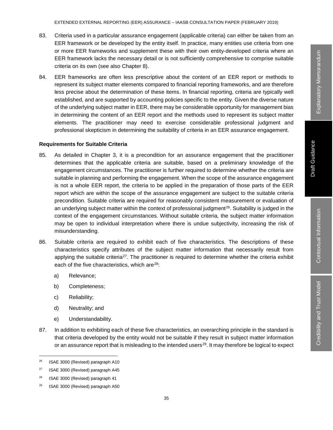- 83. Criteria used in a particular assurance engagement (applicable criteria) can either be taken from an EER framework or be developed by the entity itself. In practice, many entities use criteria from one or more EER frameworks and supplement these with their own entity-developed criteria where an EER framework lacks the necessary detail or is not sufficiently comprehensive to comprise suitable criteria on its own (see also Chapter 8).
- 84. EER frameworks are often less prescriptive about the content of an EER report or methods to represent its subject matter elements compared to financial reporting frameworks, and are therefore less precise about the determination of these items. In financial reporting, criteria are typically well established, and are supported by accounting policies specific to the entity. Given the diverse nature of the underlying subject matter in EER, there may be considerable opportunity for management bias in determining the content of an EER report and the methods used to represent its subject matter elements. The practitioner may need to exercise considerable professional judgment and professional skepticism in determining the suitability of criteria in an EER assurance engagement.

#### **Requirements for Suitable Criteria**

- 85. As detailed in Chapter 3, it is a precondition for an assurance engagement that the practitioner determines that the applicable criteria are suitable, based on a preliminary knowledge of the engagement circumstances. The practitioner is further required to determine whether the criteria are suitable in planning and performing the engagement. When the scope of the assurance engagement is not a whole EER report, the criteria to be applied in the preparation of those parts of the EER report which are within the scope of the assurance engagement are subject to the suitable criteria precondition. Suitable criteria are required for reasonably consistent measurement or evaluation of an underlying subject matter within the context of professional judgment<sup>26</sup>. Suitability is judged in the context of the engagement circumstances. Without suitable criteria, the subject matter information may be open to individual interpretation where there is undue subjectivity, increasing the risk of misunderstanding.
- 86. Suitable criteria are required to exhibit each of five characteristics. The descriptions of these characteristics specify attributes of the subject matter information that necessarily result from applying the suitable criteria<sup>27</sup>. The practitioner is required to determine whether the criteria exhibit each of the five characteristics, which are<sup>28</sup>:
	- a) Relevance;
	- b) Completeness;
	- c) Reliability;
	- d) Neutrality; and
	- e) Understandability.
- 87. In addition to exhibiting each of these five characteristics, an overarching principle in the standard is that criteria developed by the entity would not be suitable if they result in subject matter information or an assurance report that is misleading to the intended users $^{29}$ . It may therefore be logical to expect

<sup>&</sup>lt;sup>26</sup> ISAE 3000 (Revised) paragraph A10

<sup>&</sup>lt;sup>27</sup> ISAE 3000 (Revised) paragraph A45

<sup>28</sup> ISAE 3000 (Revised) paragraph 41

<sup>29</sup> ISAE 3000 (Revised) paragraph A50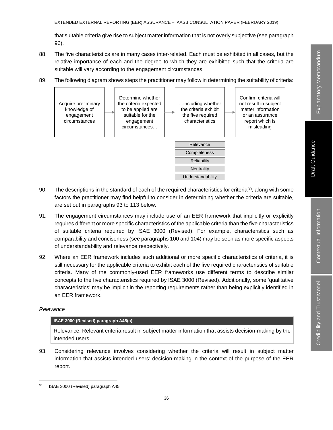that suitable criteria give rise to subject matter information that is not overly subjective (see paragraph 96).

88. The five characteristics are in many cases inter-related. Each must be exhibited in all cases, but the relative importance of each and the degree to which they are exhibited such that the criteria are suitable will vary according to the engagement circumstances.



89. The following diagram shows steps the practitioner may follow in determining the suitability of criteria:

- 90. The descriptions in the standard of each of the required characteristics for criteria<sup>30</sup>, along with some factors the practitioner may find helpful to consider in determining whether the criteria are suitable, are set out in paragraphs 93 to 113 below.
- 91. The engagement circumstances may include use of an EER framework that implicitly or explicitly requires different or more specific characteristics of the applicable criteria than the five characteristics of suitable criteria required by ISAE 3000 (Revised). For example, characteristics such as comparability and conciseness (see paragraphs 100 and 104) may be seen as more specific aspects of understandability and relevance respectively.
- 92. Where an EER framework includes such additional or more specific characteristics of criteria, it is still necessary for the applicable criteria to exhibit each of the five required characteristics of suitable criteria. Many of the commonly-used EER frameworks use different terms to describe similar concepts to the five characteristics required by ISAE 3000 (Revised). Additionally, some 'qualitative characteristics' may be implicit in the reporting requirements rather than being explicitly identified in an EER framework.

#### *Relevance*

#### **ISAE 3000 (Revised) paragraph A45(a)**

Relevance: Relevant criteria result in subject matter information that assists decision-making by the intended users.

93. Considering relevance involves considering whether the criteria will result in subject matter information that assists intended users' decision-making in the context of the purpose of the EER report.

<sup>&</sup>lt;sup>30</sup> ISAE 3000 (Revised) paragraph A45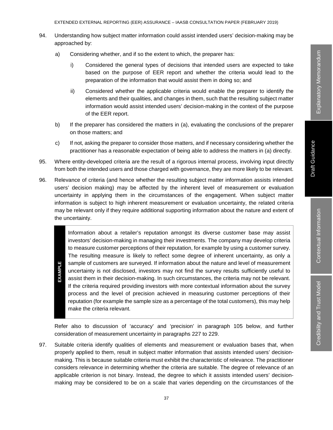#### EXTENDED EXTERNAL REPORTING (EER) ASSURANCE – IAASB CONSULTATION PAPER (FEBRUARY 2019)

- 94. Understanding how subject matter information could assist intended users' decision-making may be approached by:
	- a) Considering whether, and if so the extent to which, the preparer has:
		- i) Considered the general types of decisions that intended users are expected to take based on the purpose of EER report and whether the criteria would lead to the preparation of the information that would assist them in doing so; and
		- ii) Considered whether the applicable criteria would enable the preparer to identify the elements and their qualities, and changes in them, such that the resulting subject matter information would assist intended users' decision-making in the context of the purpose of the EER report.
	- b) If the preparer has considered the matters in (a), evaluating the conclusions of the preparer on those matters; and
	- c) If not, asking the preparer to consider those matters, and if necessary considering whether the practitioner has a reasonable expectation of being able to address the matters in (a) directly.
- 95. Where entity-developed criteria are the result of a rigorous internal process, involving input directly from both the intended users and those charged with governance, they are more likely to be relevant.
- 96. Relevance of criteria (and hence whether the resulting subject matter information assists intended users' decision making) may be affected by the inherent level of measurement or evaluation uncertainty in applying them in the circumstances of the engagement. When subject matter information is subject to high inherent measurement or evaluation uncertainty, the related criteria may be relevant only if they require additional supporting information about the nature and extent of the uncertainty.

Information about a retailer's reputation amongst its diverse customer base may assist investors' decision-making in managing their investments. The company may develop criteria to measure customer perceptions of their reputation, for example by using a customer survey. The resulting measure is likely to reflect some degree of inherent uncertainty, as only a **EXAMPLE** sample of customers are surveyed. If information about the nature and level of measurement **EXAMPLE** uncertainty is not disclosed, investors may not find the survey results sufficiently useful to assist them in their decision-making. In such circumstances, the criteria may not be relevant. If the criteria required providing investors with more contextual information about the survey process and the level of precision achieved in measuring customer perceptions of their reputation (for example the sample size as a percentage of the total customers), this may help make the criteria relevant.

Refer also to discussion of 'accuracy' and 'precision' in paragraph 105 below, and further consideration of measurement uncertainty in paragraphs 227 to 229.

97. Suitable criteria identify qualities of elements and measurement or evaluation bases that, when properly applied to them, result in subject matter information that assists intended users' decisionmaking. This is because suitable criteria must exhibit the characteristic of relevance. The practitioner considers relevance in determining whether the criteria are suitable. The degree of relevance of an applicable criterion is not binary. Instead, the degree to which it assists intended users' decisionmaking may be considered to be on a scale that varies depending on the circumstances of the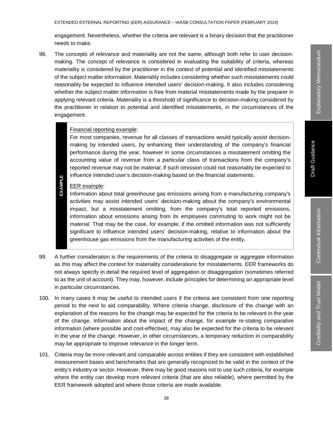engagement. Nevertheless, whether the criteria are relevant is a binary decision that the practitioner needs to make.

98. The concepts of relevance and materiality are not the same, although both refer to user decisionmaking. The concept of relevance is considered in evaluating the suitability of criteria, whereas materiality is considered by the practitioner in the context of potential and identified misstatements of the subject matter information. Materiality includes considering whether such misstatements could reasonably be expected to influence intended users' decision-making. It also includes considering whether the subject matter information is free from material misstatements made by the preparer in applying relevant criteria. Materiality is a threshold of significance to decision-making considered by the practitioner in relation to potential and identified misstatements, in the circumstances of the engagement.

## Financial reporting example:

For most companies, revenue for all classes of transactions would typically assist decisionmaking by intended users, by enhancing their understanding of the company's financial performance during the year, however in some circumstances a misstatement omitting the accounting value of revenue from a particular class of transactions from the company's reported revenue may not be *material*, if such omission could not reasonably be expected to influence intended user's decision-making based on the financial statements.

# **EXAMPLE EXAMPLE** EER example:

Information about total greenhouse gas emissions arising from a manufacturing company's activities may assist intended users' decision-making about the company's environmental impact, but a misstatement omitting, from the company's total reported emissions, information about emissions arising from its employees commuting to work might not be *material*. That may be the case, for example, if the omitted information was not sufficiently significant to influence intended users' decision-making, relative to information about the greenhouse gas emissions from the manufacturing activities of the entity.

- 99. A further consideration is the requirements of the criteria to disaggregate or aggregate information as this may affect the context for materiality considerations for misstatements. EER frameworks do not always specify in detail the required level of aggregation or disaggregation (sometimes referred to as the unit of account). They may, however, include principles for determining an appropriate level in particular circumstances.
- 100. In many cases it may be useful to intended users if the criteria are consistent from one reporting period to the next to aid comparability. Where criteria change, disclosure of the change with an explanation of the reasons for the change may be expected for the criteria to be relevant in the year of the change. Information about the impact of the change, for example re-stating comparative information (where possible and cost-effective), may also be expected for the criteria to be relevant in the year of the change. However, in other circumstances, a temporary reduction in comparability may be appropriate to improve relevance in the longer term.
- 101. Criteria may be more relevant and comparable across entities if they are consistent with established measurement bases and benchmarks that are generally recognized to be valid in the context of the entity's industry or sector. However, there may be good reasons not to use such criteria, for example where the entity can develop more relevant criteria (that are also reliable), where permitted by the EER framework adopted and where those criteria are made available.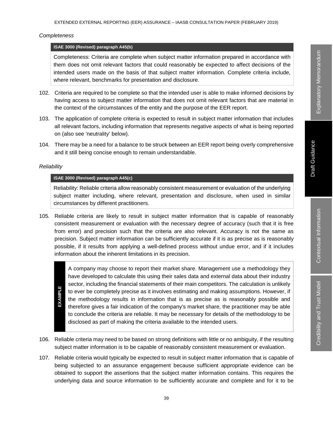#### *Completeness*

#### **ISAE 3000 (Revised) paragraph A45(b)**

Completeness: Criteria are complete when subject matter information prepared in accordance with them does not omit relevant factors that could reasonably be expected to affect decisions of the intended users made on the basis of that subject matter information. Complete criteria include, where relevant, benchmarks for presentation and disclosure.

- 102. Criteria are required to be complete so that the intended user is able to make informed decisions by having access to subject matter information that does not omit relevant factors that are material in the context of the circumstances of the entity and the purpose of the EER report.
- 103. The application of complete criteria is expected to result in subject matter information that includes all relevant factors, including information that represents negative aspects of what is being reported on (also see 'neutrality' below).
- 104. There may be a need for a balance to be struck between an EER report being overly comprehensive and it still being concise enough to remain understandable.

#### *Reliability*

# **ISAE 3000 (Revised) paragraph A45(c)**

Reliability: Reliable criteria allow reasonably consistent measurement or evaluation of the underlying subject matter including, where relevant, presentation and disclosure, when used in similar circumstances by different practitioners.

105. Reliable criteria are likely to result in subject matter information that is capable of reasonably consistent measurement or evaluation with the necessary degree of accuracy (such that it is free from error) and precision such that the criteria are also relevant. Accuracy is not the same as precision. Subject matter information can be sufficiently accurate if it is as precise as is reasonably possible, if it results from applying a well-defined process without undue error, and if it includes information about the inherent limitations in its precision.

A company may choose to report their market share. Management use a methodology they have developed to calculate this using their sales data and external data about their industry sector, including the financial statements of their main competitors. The calculation is unlikely EXAMPLE **EXAMPLE** to ever be completely precise as it involves estimating and making assumptions. However, if the methodology results in information that is as precise as is reasonably possible and therefore gives a fair indication of the company's market share, the practitioner may be able to conclude the criteria are reliable. It may be necessary for details of the methodology to be disclosed as part of making the criteria available to the intended users.

- 106. Reliable criteria may need to be based on strong definitions with little or no ambiguity, if the resulting subject matter information is to be capable of reasonably consistent measurement or evaluation.
- 107. Reliable criteria would typically be expected to result in subject matter information that is capable of being subjected to an assurance engagement because sufficient appropriate evidence can be obtained to support the assertions that the subject matter information contains. This requires the underlying data and source information to be sufficiently accurate and complete and for it to be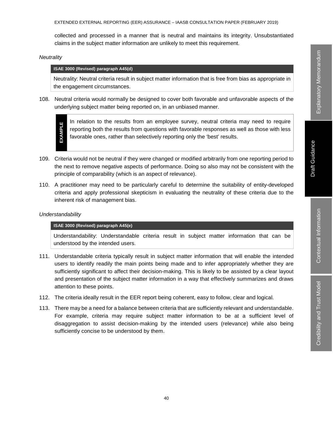Credibility and Trust Model

Credibility and Trust Model

collected and processed in a manner that is neutral and maintains its integrity. Unsubstantiated claims in the subject matter information are unlikely to meet this requirement.

*Neutrality*

#### **ISAE 3000 (Revised) paragraph A45(d)**

Neutrality: Neutral criteria result in subject matter information that is free from bias as appropriate in the engagement circumstances.

108. Neutral criteria would normally be designed to cover both favorable and unfavorable aspects of the underlying subject matter being reported on, in an unbiased manner.



In relation to the results from an employee survey, neutral criteria may need to require reporting both the results from questions with favorable responses as well as those with less favorable ones, rather than selectively reporting only the 'best' results.

- 109. Criteria would not be neutral if they were changed or modified arbitrarily from one reporting period to the next to remove negative aspects of performance. Doing so also may not be consistent with the principle of comparability (which is an aspect of relevance).
- 110. A practitioner may need to be particularly careful to determine the suitability of entity-developed criteria and apply professional skepticism in evaluating the neutrality of these criteria due to the inherent risk of management bias.

#### *Understandability*

#### **ISAE 3000 (Revised) paragraph A45(e)**

Understandability: Understandable criteria result in subject matter information that can be understood by the intended users.

- 111. Understandable criteria typically result in subject matter information that will enable the intended users to identify readily the main points being made and to infer appropriately whether they are sufficiently significant to affect their decision-making. This is likely to be assisted by a clear layout and presentation of the subject matter information in a way that effectively summarizes and draws attention to these points.
- 112. The criteria ideally result in the EER report being coherent, easy to follow, clear and logical.
- 113. There may be a need for a balance between criteria that are sufficiently relevant and understandable. For example, criteria may require subject matter information to be at a sufficient level of disaggregation to assist decision-making by the intended users (relevance) while also being sufficiently concise to be understood by them.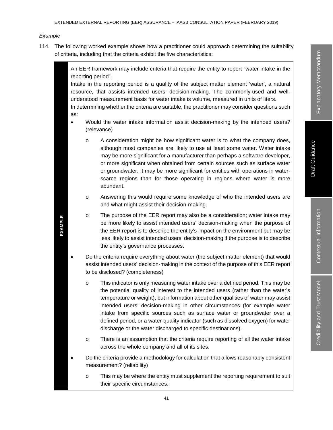#### *Example*

**EXAMPLE**

**EXAMPLE** 

114. The following worked example shows how a practitioner could approach determining the suitability of criteria, including that the criteria exhibit the five characteristics:

> An EER framework may include criteria that require the entity to report "water intake in the reporting period".

> Intake in the reporting period is a quality of the subject matter element 'water', a natural resource, that assists intended users' decision-making. The commonly-used and wellunderstood measurement basis for water intake is volume, measured in units of liters.

> In determining whether the criteria are suitable, the practitioner may consider questions such as:

- Would the water intake information assist decision-making by the intended users? (relevance)
	- o A consideration might be how significant water is to what the company does, although most companies are likely to use at least some water. Water intake may be more significant for a manufacturer than perhaps a software developer, or more significant when obtained from certain sources such as surface water or groundwater. It may be more significant for entities with operations in waterscarce regions than for those operating in regions where water is more abundant.
	- o Answering this would require some knowledge of who the intended users are and what might assist their decision-making.
	- o The purpose of the EER report may also be a consideration; water intake may be more likely to assist intended users' decision-making when the purpose of the EER report is to describe the entity's impact on the environment but may be less likely to assist intended users' decision-making if the purpose is to describe the entity's governance processes.
- Do the criteria require everything about water (the subject matter element) that would assist intended users' decision-making in the context of the purpose of this EER report to be disclosed? (completeness)
	- o This indicator is only measuring water intake over a defined period. This may be the potential quality of interest to the intended users (rather than the water's temperature or weight), but information about other qualities of water may assist intended users' decision-making in other circumstances (for example water intake from specific sources such as surface water or groundwater over a defined period, or a water-quality indicator (such as dissolved oxygen) for water discharge or the water discharged to specific destinations).
	- o There is an assumption that the criteria require reporting of all the water intake across the whole company and all of its sites.
- Do the criteria provide a methodology for calculation that allows reasonably consistent measurement? (reliability)
	- o This may be where the entity must supplement the reporting requirement to suit their specific circumstances.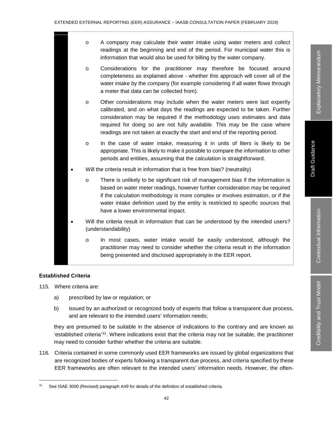- o A company may calculate their water intake using water meters and collect readings at the beginning and end of the period. For municipal water this is information that would also be used for billing by the water company.
- o Considerations for the practitioner may therefore be focused around completeness as explained above - whether this approach will cover all of the water intake by the company (for example considering if all water flows through a meter that data can be collected from).
- o Other considerations may include when the water meters were last expertly calibrated, and on what days the readings are expected to be taken. Further consideration may be required if the methodology uses estimates and data required for doing so are not fully available. This may be the case where readings are not taken at exactly the start and end of the reporting period.
- o In the case of water intake, measuring it in units of liters is likely to be appropriate. This is likely to make it possible to compare the information to other periods and entities, assuming that the calculation is straightforward.
- Will the criteria result in information that is free from bias? (neutrality)
	- o There is unlikely to be significant risk of management bias if the information is based on water meter readings, however further consideration may be required if the calculation methodology is more complex or involves estimation, or if the water intake definition used by the entity is restricted to specific sources that have a lower environmental impact.
- Will the criteria result in information that can be understood by the intended users? (understandability)
	- o In most cases, water intake would be easily understood, although the practitioner may need to consider whether the criteria result in the information being presented and disclosed appropriately in the EER report.

# **Established Criteria**

- 115. Where criteria are:
	- a) prescribed by law or regulation; or
	- b) issued by an authorized or recognized body of experts that follow a transparent due process, and are relevant to the intended users' information needs;

they are presumed to be suitable in the absence of indications to the contrary and are known as 'established criteria'31. Where indications exist that the criteria may not be suitable, the practitioner may need to consider further whether the criteria are suitable.

116. Criteria contained in some commonly used EER frameworks are issued by global organizations that are recognized bodies of experts following a transparent due process, and criteria specified by these EER frameworks are often relevant to the intended users' information needs. However, the often-

<sup>&</sup>lt;sup>31</sup> See ISAE 3000 (Revised) paragraph A49 for details of the definition of established criteria.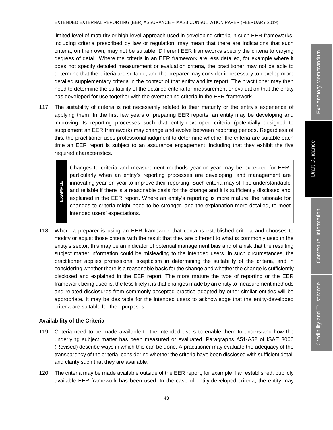limited level of maturity or high-level approach used in developing criteria in such EER frameworks, including criteria prescribed by law or regulation, may mean that there are indications that such criteria, on their own, may not be suitable. Different EER frameworks specify the criteria to varying degrees of detail. Where the criteria in an EER framework are less detailed, for example where it does not specify detailed measurement or evaluation criteria, the practitioner may not be able to determine that the criteria are suitable, and the preparer may consider it necessary to develop more detailed supplementary criteria in the context of that entity and its report. The practitioner may then need to determine the suitability of the detailed criteria for measurement or evaluation that the entity has developed for use together with the overarching criteria in the EER framework.

117. The suitability of criteria is not necessarily related to their maturity or the entity's experience of applying them. In the first few years of preparing EER reports, an entity may be developing and improving its reporting processes such that entity-developed criteria (potentially designed to supplement an EER framework) may change and evolve between reporting periods. Regardless of this, the practitioner uses professional judgment to determine whether the criteria are suitable each time an EER report is subject to an assurance engagement, including that they exhibit the five required characteristics.

Changes to criteria and measurement methods year-on-year may be expected for EER, particularly when an entity's reporting processes are developing, and management are **EXAMPLE** innovating year-on-year to improve their reporting. Such criteria may still be understandable **EXAMPLE** and reliable if there is a reasonable basis for the change and it is sufficiently disclosed and explained in the EER report. Where an entity's reporting is more mature, the rationale for changes to criteria might need to be stronger, and the explanation more detailed, to meet intended users' expectations.

118. Where a preparer is using an EER framework that contains established criteria and chooses to modify or adjust those criteria with the result that they are different to what is commonly used in the entity's sector, this may be an indicator of potential management bias and of a risk that the resulting subject matter information could be misleading to the intended users. In such circumstances, the practitioner applies professional skepticism in determining the suitability of the criteria, and in considering whether there is a reasonable basis for the change and whether the change is sufficiently disclosed and explained in the EER report. The more mature the type of reporting or the EER framework being used is, the less likely it is that changes made by an entity to measurement methods and related disclosures from commonly-accepted practice adopted by other similar entities will be appropriate. It may be desirable for the intended users to acknowledge that the entity-developed criteria are suitable for their purposes.

### **Availability of the Criteria**

- 119. Criteria need to be made available to the intended users to enable them to understand how the underlying subject matter has been measured or evaluated. Paragraphs A51-A52 of ISAE 3000 (Revised) describe ways in which this can be done. A practitioner may evaluate the adequacy of the transparency of the criteria, considering whether the criteria have been disclosed with sufficient detail and clarity such that they are available.
- 120. The criteria may be made available outside of the EER report, for example if an established, publicly available EER framework has been used. In the case of entity-developed criteria, the entity may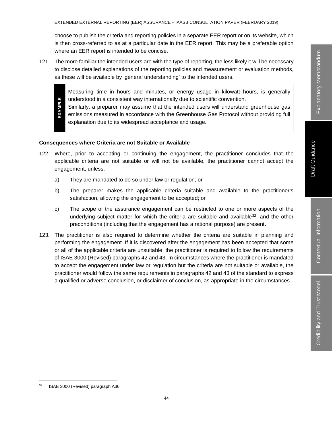choose to publish the criteria and reporting policies in a separate EER report or on its website, which is then cross-referred to as at a particular date in the EER report. This may be a preferable option where an EER report is intended to be concise.

121. The more familiar the intended users are with the type of reporting, the less likely it will be necessary to disclose detailed explanations of the reporting policies and measurement or evaluation methods, as these will be available by 'general understanding' to the intended users.

Measuring time in hours and minutes, or energy usage in kilowatt hours, is generally understood in a consistent way internationally due to scientific convention.

**EXAMPLE EXAMPLE** Similarly, a preparer may assume that the intended users will understand greenhouse gas emissions measured in accordance with the Greenhouse Gas Protocol without providing full explanation due to its widespread acceptance and usage.

# **Consequences where Criteria are not Suitable or Available**

- 122. Where, prior to accepting or continuing the engagement, the practitioner concludes that the applicable criteria are not suitable or will not be available, the practitioner cannot accept the engagement, unless:
	- a) They are mandated to do so under law or regulation; or
	- b) The preparer makes the applicable criteria suitable and available to the practitioner's satisfaction, allowing the engagement to be accepted; or
	- c) The scope of the assurance engagement can be restricted to one or more aspects of the underlying subject matter for which the criteria are suitable and available<sup>32</sup>, and the other preconditions (including that the engagement has a rational purpose) are present.
- 123. The practitioner is also required to determine whether the criteria are suitable in planning and performing the engagement. If it is discovered after the engagement has been accepted that some or all of the applicable criteria are unsuitable, the practitioner is required to follow the requirements of ISAE 3000 (Revised) paragraphs 42 and 43. In circumstances where the practitioner is mandated to accept the engagement under law or regulation but the criteria are not suitable or available, the practitioner would follow the same requirements in paragraphs 42 and 43 of the standard to express a qualified or adverse conclusion, or disclaimer of conclusion, as appropriate in the circumstances.

<sup>&</sup>lt;sup>32</sup> ISAE 3000 (Revised) paragraph A36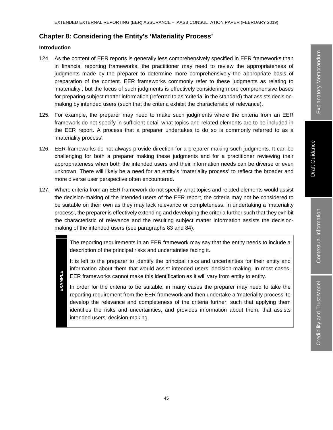# **Chapter 8: Considering the Entity's 'Materiality Process'**

# **Introduction**

- 124. As the content of EER reports is generally less comprehensively specified in EER frameworks than in financial reporting frameworks, the practitioner may need to review the appropriateness of judgments made by the preparer to determine more comprehensively the appropriate basis of preparation of the content. EER frameworks commonly refer to these judgments as relating to 'materiality', but the focus of such judgments is effectively considering more comprehensive bases for preparing subject matter information (referred to as 'criteria' in the standard) that assists decisionmaking by intended users (such that the criteria exhibit the characteristic of relevance).
- 125. For example, the preparer may need to make such judgments where the criteria from an EER framework do not specify in sufficient detail what topics and related elements are to be included in the EER report. A process that a preparer undertakes to do so is commonly referred to as a 'materiality process'.
- 126. EER frameworks do not always provide direction for a preparer making such judgments. It can be challenging for both a preparer making these judgments and for a practitioner reviewing their appropriateness when both the intended users and their information needs can be diverse or even unknown. There will likely be a need for an entity's 'materiality process' to reflect the broader and more diverse user perspective often encountered.
- 127. Where criteria from an EER framework do not specify what topics and related elements would assist the decision-making of the intended users of the EER report, the criteria may not be considered to be suitable on their own as they may lack relevance or completeness. In undertaking a 'materiality process', the preparer is effectively extending and developing the criteria further such that they exhibit the characteristic of relevance and the resulting subject matter information assists the decisionmaking of the intended users (see paragraphs 83 and 84).

The reporting requirements in an EER framework may say that the entity needs to include a description of the principal risks and uncertainties facing it.

It is left to the preparer to identify the principal risks and uncertainties for their entity and information about them that would assist intended users' decision-making. In most cases, EER frameworks cannot make this identification as it will vary from entity to entity.

**EXAMPLE EXAMPLE**

In order for the criteria to be suitable, in many cases the preparer may need to take the reporting requirement from the EER framework and then undertake a 'materiality process' to develop the relevance and completeness of the criteria further, such that applying them identifies the risks and uncertainties, and provides information about them, that assists intended users' decision-making.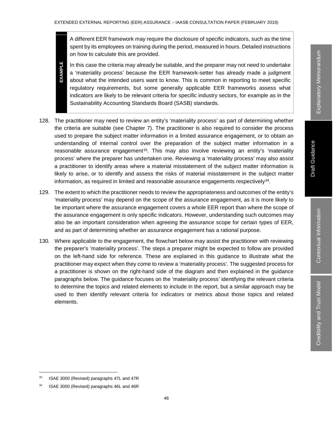A different EER framework may require the disclosure of specific indicators, such as the time spent by its employees on training during the period, measured in hours. Detailed instructions on how to calculate this are provided.

In this case the criteria may already be suitable, and the preparer may not need to undertake a 'materiality process' because the EER framework-setter has already made a judgment about what the intended users want to know. This is common in reporting to meet specific regulatory requirements, but some generally applicable EER frameworks assess what indicators are likely to be relevant criteria for specific industry sectors, for example as in the Sustainability Accounting Standards Board (SASB) standards.

- 128. The practitioner may need to review an entity's 'materiality process' as part of determining whether the criteria are suitable (see Chapter 7). The practitioner is also required to consider the process used to prepare the subject matter information in a limited assurance engagement, or to obtain an understanding of internal control over the preparation of the subject matter information in a reasonable assurance engagement $33$ . This may also involve reviewing an entity's 'materiality process' where the preparer has undertaken one. Reviewing a 'materiality process' may also assist a practitioner to identify areas where a material misstatement of the subject matter information is likely to arise, or to identify and assess the risks of material misstatement in the subject matter information, as required in limited and reasonable assurance engagements respectively<sup>34</sup>.
- 129. The extent to which the practitioner needs to review the appropriateness and outcomes of the entity's 'materiality process' may depend on the scope of the assurance engagement, as it is more likely to be important where the assurance engagement covers a whole EER report than where the scope of the assurance engagement is only specific indicators. However, understanding such outcomes may also be an important consideration when agreeing the assurance scope for certain types of EER, and as part of determining whether an assurance engagement has a rational purpose.
- 130. Where applicable to the engagement, the flowchart below may assist the practitioner with reviewing the preparer's 'materiality process'. The steps a preparer might be expected to follow are provided on the left-hand side for reference. These are explained in this guidance to illustrate what the practitioner may expect when they come to review a 'materiality process'. The suggested process for a practitioner is shown on the right-hand side of the diagram and then explained in the guidance paragraphs below. The guidance focuses on the 'materiality process' identifying the relevant criteria to determine the topics and related elements to include in the report, but a similar approach may be used to then identify relevant criteria for indicators or metrics about those topics and related elements.

**EXAMPLE**

**EXAMPLE** 

<sup>&</sup>lt;sup>33</sup> ISAE 3000 (Revised) paragraphs 47L and 47R

<sup>34</sup> ISAE 3000 (Revised) paragraphs 46L and 46R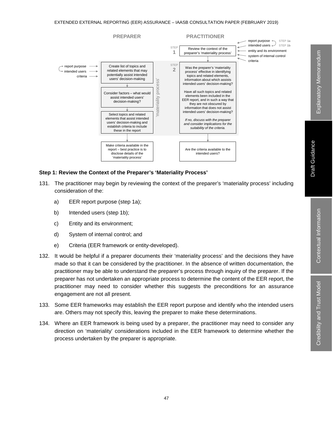

### **Step 1: Review the Context of the Preparer's 'Materiality Process'**

- 131. The practitioner may begin by reviewing the context of the preparer's 'materiality process' including consideration of the:
	- a) EER report purpose (step 1a);
	- b) Intended users (step 1b);
	- c) Entity and its environment;
	- d) System of internal control; and
	- e) Criteria (EER framework or entity-developed).
- 132. It would be helpful if a preparer documents their 'materiality process' and the decisions they have made so that it can be considered by the practitioner. In the absence of written documentation, the practitioner may be able to understand the preparer's process through inquiry of the preparer. If the preparer has not undertaken an appropriate process to determine the content of the EER report, the practitioner may need to consider whether this suggests the preconditions for an assurance engagement are not all present.
- 133. Some EER frameworks may establish the EER report purpose and identify who the intended users are. Others may not specify this, leaving the preparer to make these determinations.
- 134. Where an EER framework is being used by a preparer, the practitioner may need to consider any direction on 'materiality' considerations included in the EER framework to determine whether the process undertaken by the preparer is appropriate.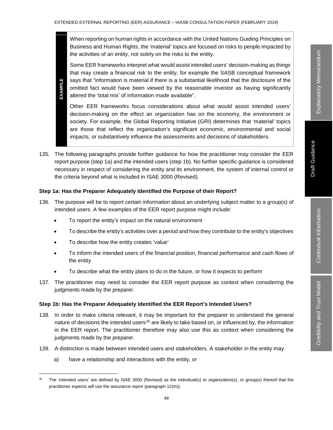When reporting on human rights in accordance with the United Nations Guiding Principles on Business and Human Rights, the 'material' topics are focused on risks to people impacted by the activities of an entity, not solely on the risks to the entity.

Some EER frameworks interpret what would assist intended users' decision-making as things that may create a financial risk to the entity, for example the SASB conceptual framework says that "information is material if there is a substantial likelihood that the disclosure of the omitted fact would have been viewed by the reasonable investor as having significantly altered the 'total mix' of information made available".

Other EER frameworks focus considerations about what would assist intended users' decision-making on the effect an organization has on the economy, the environment or society. For example, the Global Reporting Initiative (GRI) determines that 'material' topics are those that reflect the organization's significant economic, environmental and social impacts, or substantively influence the assessments and decisions of stakeholders.

135. The following paragraphs provide further guidance for how the practitioner may consider the EER report purpose (step 1a) and the intended users (step 1b). No further specific guidance is considered necessary in respect of considering the entity and its environment, the system of internal control or the criteria beyond what is included in ISAE 3000 (Revised).

## **Step 1a: Has the Preparer Adequately Identified the Purpose of their Report?**

- 136. The purpose will be to report certain information about an underlying subject matter to a group(s) of intended users. A few examples of the EER report purpose might include:
	- To report the entity's impact on the natural environment
	- To describe the entity's activities over a period and how they contribute to the entity's objectives
	- To describe how the entity creates 'value'

**EXAMPLE**

EXAMPLE

- To inform the intended users of the financial position, financial performance and cash flows of the entity
- To describe what the entity plans to do in the future, or how it expects to perform
- 137. The practitioner may need to consider the EER report purpose as context when considering the judgments made by the preparer.

#### **Step 1b: Has the Preparer Adequately Identified the EER Report's Intended Users?**

- 138. In order to make criteria relevant, it may be important for the preparer to understand the general nature of decisions the intended users<sup>35</sup> are likely to take based on, or influenced by, the information in the EER report. The practitioner therefore may also use this as context when considering the judgments made by the preparer.
- 139. A distinction is made between intended users and stakeholders. A stakeholder in the entity may
	- a) have a relationship and interactions with the entity, or

<sup>&</sup>lt;sup>35</sup> The 'intended users' are defined by ISAE 3000 (Revised) as the individual(s) or organization(s), or group(s) thereof that the practitioner expects will use the assurance report (paragraph 12(m)).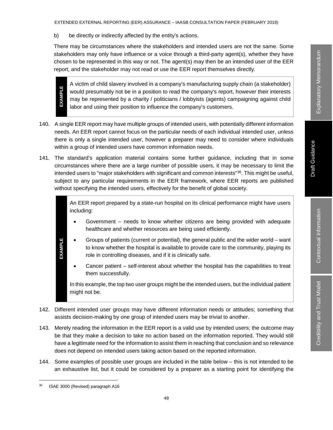EXTENDED EXTERNAL REPORTING (EER) ASSURANCE – IAASB CONSULTATION PAPER (FEBRUARY 2019)

b) be directly or indirectly affected by the entity's actions.

There may be circumstances where the stakeholders and intended users are not the same. Some stakeholders may only have influence or a voice through a third-party agent(s), whether they have chosen to be represented in this way or not. The agent(s) may then be an intended user of the EER report, and the stakeholder may not read or use the EER report themselves directly.

A victim of child slavery involved in a company's manufacturing supply chain (a stakeholder) would presumably not be in a position to read the company's report, however their interests may be represented by a charity / politicians / lobbyists (agents) campaigning against child labor and using their position to influence the company's customers.

- 140. A single EER report may have multiple groups of intended users, with potentially different information needs. An EER report cannot focus on the particular needs of each individual intended user, unless there is only a single intended user, however a preparer may need to consider where individuals within a group of intended users have common information needs.
- 141. The standard's application material contains some further guidance, including that in some circumstances where there are a large number of possible users, it may be necessary to limit the intended users to "major stakeholders with significant and common interests"<sup>36</sup>. This might be useful, subject to any particular requirements in the EER framework, where EER reports are published without specifying the intended users, effectively for the benefit of global society.

An EER report prepared by a state-run hospital on its clinical performance might have users including:

- Government needs to know whether citizens are being provided with adequate healthcare and whether resources are being used efficiently.
- Groups of patients (current or potential), the general public and the wider world want to know whether the hospital is available to provide care to the community, playing its role in controlling diseases, and if it is clinically safe.
- Cancer patient self-interest about whether the hospital has the capabilities to treat them successfully.

In this example, the top two user groups might be the intended users, but the individual patient might not be.

- 142. Different intended user groups may have different information needs or attitudes; something that assists decision-making by one group of intended users may be trivial to another.
- 143. Merely reading the information in the EER report is a valid use by intended users; the outcome may be that they make a decision to take no action based on the information reported. They would still have a legitimate need for the information to assist them in reaching that conclusion and so relevance does not depend on intended users taking action based on the reported information.
- 144. Some examples of possible user groups are included in the table below this is not intended to be an exhaustive list, but it could be considered by a preparer as a starting point for identifying the

**EXAMPLE**

**EXAMPLE** 

**EXAMPLE**

**EXAMPLE** 

 <sup>36</sup> ISAE 3000 (Revised) paragraph A16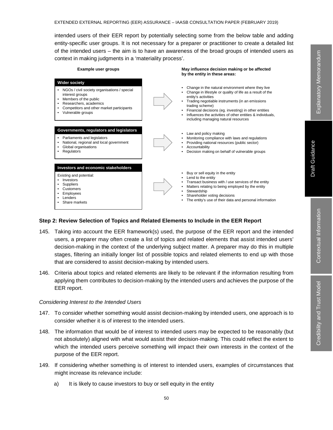intended users of their EER report by potentially selecting some from the below table and adding entity-specific user groups. It is not necessary for a preparer or practitioner to create a detailed list of the intended users – the aim is to have an awareness of the broad groups of intended users as context in making judgments in a 'materiality process'.



#### **Step 2: Review Selection of Topics and Related Elements to Include in the EER Report**

- 145. Taking into account the EER framework(s) used, the purpose of the EER report and the intended users, a preparer may often create a list of topics and related elements that assist intended users' decision-making in the context of the underlying subject matter. A preparer may do this in multiple stages, filtering an initially longer list of possible topics and related elements to end up with those that are considered to assist decision-making by intended users.
- 146. Criteria about topics and related elements are likely to be relevant if the information resulting from applying them contributes to decision-making by the intended users and achieves the purpose of the EER report.

#### *Considering Interest to the Intended Users*

- 147. To consider whether something would assist decision-making by intended users, one approach is to consider whether it is of interest to the intended users.
- 148. The information that would be of interest to intended users may be expected to be reasonably (but not absolutely) aligned with what would assist their decision-making. This could reflect the extent to which the intended users perceive something will impact their own interests in the context of the purpose of the EER report.
- 149. If considering whether something is of interest to intended users, examples of circumstances that might increase its relevance include:
	- a) It is likely to cause investors to buy or sell equity in the entity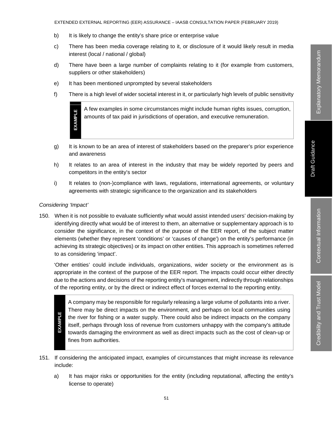#### EXTENDED EXTERNAL REPORTING (EER) ASSURANCE – IAASB CONSULTATION PAPER (FEBRUARY 2019)

- b) It is likely to change the entity's share price or enterprise value
- c) There has been media coverage relating to it, or disclosure of it would likely result in media interest (local / national / global)
- d) There have been a large number of complaints relating to it (for example from customers, suppliers or other stakeholders)
- e) It has been mentioned unprompted by several stakeholders
- f) There is a high level of wider societal interest in it, or particularly high levels of public sensitivity

A few examples in some circumstances might include human rights issues, corruption, amounts of tax paid in jurisdictions of operation, and executive remuneration.

- g) It is known to be an area of interest of stakeholders based on the preparer's prior experience and awareness
- h) It relates to an area of interest in the industry that may be widely reported by peers and competitors in the entity's sector
- i) It relates to (non-)compliance with laws, regulations, international agreements, or voluntary agreements with strategic significance to the organization and its stakeholders

#### *Considering 'Impact'*

**EXAMPLE**

**EXAMPLE** 

150. When it is not possible to evaluate sufficiently what would assist intended users' decision-making by identifying directly what would be of interest to them, an alternative or supplementary approach is to consider the significance, in the context of the purpose of the EER report, of the subject matter elements (whether they represent 'conditions' or 'causes of change') on the entity's performance (in achieving its strategic objectives) or its impact on other entities. This approach is sometimes referred to as considering 'impact'.

'Other entities' could include individuals, organizations, wider society or the environment as is appropriate in the context of the purpose of the EER report. The impacts could occur either directly due to the actions and decisions of the reporting entity's management, indirectly through relationships of the reporting entity, or by the direct or indirect effect of forces external to the reporting entity.

**EXAMPLE EXAMPLE**

A company may be responsible for regularly releasing a large volume of pollutants into a river. There may be direct impacts on the environment, and perhaps on local communities using the river for fishing or a water supply. There could also be indirect impacts on the company itself, perhaps through loss of revenue from customers unhappy with the company's attitude towards damaging the environment as well as direct impacts such as the cost of clean-up or fines from authorities.

- 151. If considering the anticipated impact, examples of circumstances that might increase its relevance include:
	- a) It has major risks or opportunities for the entity (including reputational, affecting the entity's license to operate)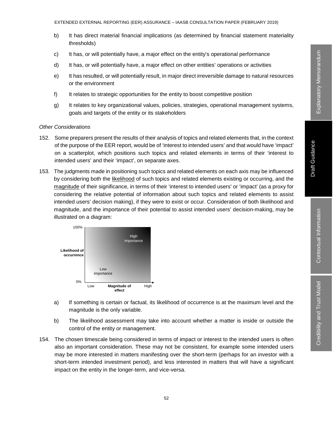- b) It has direct material financial implications (as determined by financial statement materiality thresholds)
- c) It has, or will potentially have, a major effect on the entity's operational performance
- d) It has, or will potentially have, a major effect on other entities' operations or activities
- e) It has resulted, or will potentially result, in major direct irreversible damage to natural resources or the environment
- f) It relates to strategic opportunities for the entity to boost competitive position
- g) It relates to key organizational values, policies, strategies, operational management systems, goals and targets of the entity or its stakeholders

# *Other Considerations*

- 152. Some preparers present the results of their analysis of topics and related elements that, in the context of the purpose of the EER report, would be of 'interest to intended users' and that would have 'impact' on a scatterplot, which positions such topics and related elements in terms of their 'interest to intended users' and their 'impact', on separate axes.
- 153. The judgments made in positioning such topics and related elements on each axis may be influenced by considering both the likelihood of such topics and related elements existing or occurring, and the magnitude of their significance, in terms of their 'interest to intended users' or 'impact' (as a proxy for considering the relative potential of information about such topics and related elements to assist intended users' decision making), if they were to exist or occur. Consideration of both likelihood and magnitude, and the importance of their potential to assist intended users' decision-making, may be illustrated on a diagram:



- a) If something is certain or factual, its likelihood of occurrence is at the maximum level and the magnitude is the only variable.
- b) The likelihood assessment may take into account whether a matter is inside or outside the control of the entity or management.
- 154. The chosen timescale being considered in terms of impact or interest to the intended users is often also an important consideration. These may not be consistent, for example some intended users may be more interested in matters manifesting over the short-term (perhaps for an investor with a short-term intended investment period), and less interested in matters that will have a significant impact on the entity in the longer-term, and vice-versa.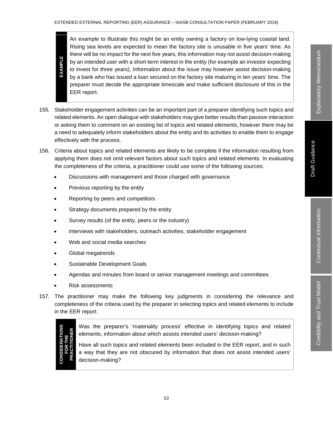An example to illustrate this might be an entity owning a factory on low-lying coastal land. Rising sea levels are expected to mean the factory site is unusable in five years' time. As there will be no impact for the next five years, this information may not assist decision-making by an intended user with a short-term interest in the entity (for example an investor expecting to invest for three years). Information about the issue may however assist decision-making by a bank who has issued a loan secured on the factory site maturing in ten years' time. The preparer must decide the appropriate timescale and make sufficient disclosure of this in the EER report.

- 155. Stakeholder engagement activities can be an important part of a preparer identifying such topics and related elements. An open dialogue with stakeholders may give better results than passive interaction or asking them to comment on an existing list of topics and related elements, however there may be a need to adequately inform stakeholders about the entity and its activities to enable them to engage effectively with the process.
- 156. Criteria about topics and related elements are likely to be complete if the information resulting from applying them does not omit relevant factors about such topics and related elements. In evaluating the completeness of the criteria, a practitioner could use some of the following sources:
	- Discussions with management and those charged with governance
	- Previous reporting by the entity
	- Reporting by peers and competitors
	- Strategy documents prepared by the entity
	- Survey results (of the entity, peers or the industry)
	- Interviews with stakeholders, outreach activities, stakeholder engagement
	- Web and social media searches
	- Global megatrends
	- Sustainable Development Goals
	- Agendas and minutes from board or senior management meetings and committees
	- Risk assessments
- 157. The practitioner may make the following key judgments in considering the relevance and completeness of the criteria used by the preparer in selecting topics and related elements to include in the EER report:



**EXAMPLE**

**EXAMPLE** 

Was the preparer's 'materiality process' effective in identifying topics and related elements, information about which assists intended users' decision-making?

Have all such topics and related elements been included in the EER report, and in such a way that they are not obscured by information that does not assist intended users' decision-making?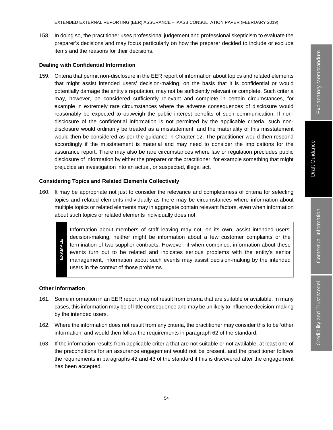Explanatory Memorandum Explanatory Memorandum

158. In doing so, the practitioner uses professional judgement and professional skepticism to evaluate the preparer's decisions and may focus particularly on how the preparer decided to include or exclude items and the reasons for their decisions.

#### **Dealing with Confidential Information**

159. Criteria that permit non-disclosure in the EER report of information about topics and related elements that might assist intended users' decision-making, on the basis that it is confidential or would potentially damage the entity's reputation, may not be sufficiently relevant or complete. Such criteria may, however, be considered sufficiently relevant and complete in certain circumstances, for example in extremely rare circumstances where the adverse consequences of disclosure would reasonably be expected to outweigh the public interest benefits of such communication. If nondisclosure of the confidential information is not permitted by the applicable criteria, such nondisclosure would ordinarily be treated as a misstatement, and the materiality of this misstatement would then be considered as per the guidance in Chapter 12. The practitioner would then respond accordingly if the misstatement is material and may need to consider the implications for the assurance report. There may also be rare circumstances where law or regulation precludes public disclosure of information by either the preparer or the practitioner, for example something that might prejudice an investigation into an actual, or suspected, illegal act.

#### **Considering Topics and Related Elements Collectively**

160. It may be appropriate not just to consider the relevance and completeness of criteria for selecting topics and related elements individually as there may be circumstances where information about multiple topics or related elements may in aggregate contain relevant factors, even when information about such topics or related elements individually does not.

> Information about members of staff leaving may not, on its own, assist intended users' decision-making, neither might be information about a few customer complaints or the termination of two supplier contracts. However, if when combined, information about these events turn out to be related and indicates serious problems with the entity's senior management, information about such events may assist decision-making by the intended users in the context of those problems.

#### **Other Information**

**EXAMPLE**

EXAMPLE

- 161. Some information in an EER report may not result from criteria that are suitable or available. In many cases, this information may be of little consequence and may be unlikely to influence decision-making by the intended users.
- 162. Where the information does not result from any criteria, the practitioner may consider this to be 'other information' and would then follow the requirements in paragraph 62 of the standard.
- 163. If the information results from applicable criteria that are not suitable or not available, at least one of the preconditions for an assurance engagement would not be present, and the practitioner follows the requirements in paragraphs 42 and 43 of the standard if this is discovered after the engagement has been accepted.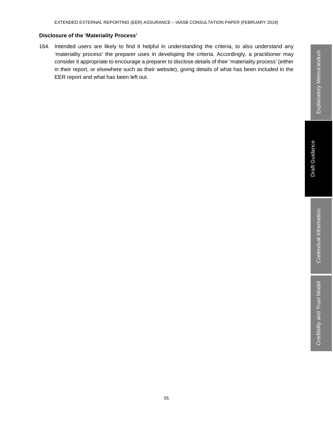# **Disclosure of the 'Materiality Process'**

164. Intended users are likely to find it helpful in understanding the criteria, to also understand any 'materiality process' the preparer uses in developing the criteria. Accordingly, a practitioner may consider it appropriate to encourage a preparer to disclose details of their 'materiality process' (either in their report, or elsewhere such as their website), giving details of what has been included in the EER report and what has been left out.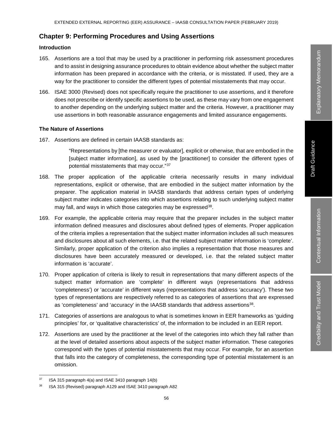# **Chapter 9: Performing Procedures and Using Assertions**

## **Introduction**

- 165. Assertions are a tool that may be used by a practitioner in performing risk assessment procedures and to assist in designing assurance procedures to obtain evidence about whether the subject matter information has been prepared in accordance with the criteria, or is misstated. If used, they are a way for the practitioner to consider the different types of potential misstatements that may occur.
- 166. ISAE 3000 (Revised) does not specifically require the practitioner to use assertions, and it therefore does not prescribe or identify specific assertions to be used, as these may vary from one engagement to another depending on the underlying subject matter and the criteria. However, a practitioner may use assertions in both reasonable assurance engagements and limited assurance engagements.

#### **The Nature of Assertions**

167. Assertions are defined in certain IAASB standards as:

"Representations by [the measurer or evaluator], explicit or otherwise, that are embodied in the [subject matter information], as used by the [practitioner] to consider the different types of potential misstatements that may occur."37

- 168. The proper application of the applicable criteria necessarily results in many individual representations, explicit or otherwise, that are embodied in the subject matter information by the preparer. The application material in IAASB standards that address certain types of underlying subject matter indicates categories into which assertions relating to such underlying subject matter may fall, and ways in which those categories may be expressed<sup>38</sup>.
- 169. For example, the applicable criteria may require that the preparer includes in the subject matter information defined measures and disclosures about defined types of elements. Proper application of the criteria implies a representation that the subject matter information includes all such measures and disclosures about all such elements, i.e. that the related subject matter information is 'complete'. Similarly, proper application of the criterion also implies a representation that those measures and disclosures have been accurately measured or developed, i.e. that the related subject matter information is 'accurate'.
- 170. Proper application of criteria is likely to result in representations that many different aspects of the subject matter information are 'complete' in different ways (representations that address 'completeness') or 'accurate' in different ways (representations that address 'accuracy'). These two types of representations are respectively referred to as categories of assertions that are expressed as 'completeness' and 'accuracy' in the IAASB standards that address assertions<sup>38</sup>.
- 171. Categories of assertions are analogous to what is sometimes known in EER frameworks as 'guiding principles' for, or 'qualitative characteristics' of, the information to be included in an EER report.
- 172. Assertions are used by the practitioner at the level of the categories into which they fall rather than at the level of detailed assertions about aspects of the subject matter information. These categories correspond with the types of potential misstatements that may occur. For example, for an assertion that falls into the category of completeness, the corresponding type of potential misstatement is an omission.

 $37$  ISA 315 paragraph 4(a) and ISAE 3410 paragraph 14(b)

<sup>&</sup>lt;sup>38</sup> ISA 315 (Revised) paragraph A129 and ISAE 3410 paragraph A82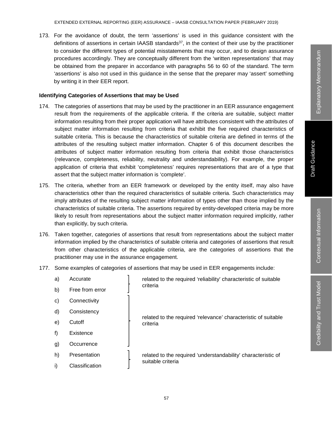173. For the avoidance of doubt, the term 'assertions' is used in this guidance consistent with the definitions of assertions in certain IAASB standards $37$ , in the context of their use by the practitioner to consider the different types of potential misstatements that may occur, and to design assurance procedures accordingly. They are conceptually different from the 'written representations' that may be obtained from the preparer in accordance with paragraphs 56 to 60 of the standard. The term 'assertions' is also not used in this guidance in the sense that the preparer may 'assert' something by writing it in their EER report.

### **Identifying Categories of Assertions that may be Used**

- 174. The categories of assertions that may be used by the practitioner in an EER assurance engagement result from the requirements of the applicable criteria. If the criteria are suitable, subject matter information resulting from their proper application will have attributes consistent with the attributes of subject matter information resulting from criteria that exhibit the five required characteristics of suitable criteria. This is because the characteristics of suitable criteria are defined in terms of the attributes of the resulting subject matter information. Chapter 6 of this document describes the attributes of subject matter information resulting from criteria that exhibit those characteristics (relevance, completeness, reliability, neutrality and understandability). For example, the proper application of criteria that exhibit 'completeness' requires representations that are of a type that assert that the subject matter information is 'complete'.
- 175. The criteria, whether from an EER framework or developed by the entity itself, may also have characteristics other than the required characteristics of suitable criteria. Such characteristics may imply attributes of the resulting subject matter information of types other than those implied by the characteristics of suitable criteria. The assertions required by entity-developed criteria may be more likely to result from representations about the subject matter information required implicitly, rather than explicitly, by such criteria.
- 176. Taken together, categories of assertions that result from representations about the subject matter information implied by the characteristics of suitable criteria and categories of assertions that result from other characteristics of the applicable criteria, are the categories of assertions that the practitioner may use in the assurance engagement.
- 177. Some examples of categories of assertions that may be used in EER engagements include:

| a) | Accurate        |  | related to the required 'reliability' characteristic of suitable<br>criteria       |  |
|----|-----------------|--|------------------------------------------------------------------------------------|--|
| b) | Free from error |  |                                                                                    |  |
| C) | Connectivity    |  | related to the required 'relevance' characteristic of suitable<br>criteria         |  |
| d) | Consistency     |  |                                                                                    |  |
| e) | Cutoff          |  |                                                                                    |  |
| f) | Existence       |  |                                                                                    |  |
| g) | Occurrence      |  |                                                                                    |  |
| h) | Presentation    |  | related to the required 'understandability' characteristic of<br>suitable criteria |  |
| i) | Classification  |  |                                                                                    |  |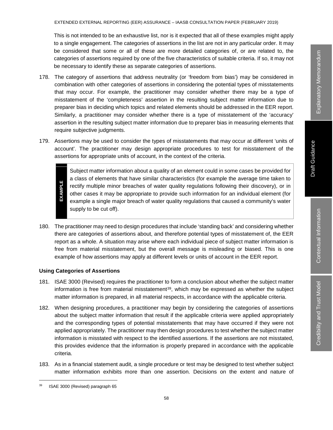This is not intended to be an exhaustive list, nor is it expected that all of these examples might apply to a single engagement. The categories of assertions in the list are not in any particular order. It may be considered that some or all of these are more detailed categories of, or are related to, the categories of assertions required by one of the five characteristics of suitable criteria. If so, it may not be necessary to identify these as separate categories of assertions.

- 178. The category of assertions that address neutrality (or 'freedom from bias') may be considered in combination with other categories of assertions in considering the potential types of misstatements that may occur. For example, the practitioner may consider whether there may be a type of misstatement of the 'completeness' assertion in the resulting subject matter information due to preparer bias in deciding which topics and related elements should be addressed in the EER report. Similarly, a practitioner may consider whether there is a type of misstatement of the 'accuracy' assertion in the resulting subject matter information due to preparer bias in measuring elements that require subjective judgments.
- 179. Assertions may be used to consider the types of misstatements that may occur at different 'units of account'. The practitioner may design appropriate procedures to test for misstatement of the assertions for appropriate units of account, in the context of the criteria.

Subject matter information about a quality of an element could in some cases be provided for a class of elements that have similar characteristics (for example the average time taken to **EXAMPLE EXAMPLE** rectify multiple minor breaches of water quality regulations following their discovery), or in other cases it may be appropriate to provide such information for an individual element (for example a single major breach of water quality regulations that caused a community's water supply to be cut off).

180. The practitioner may need to design procedures that include 'standing back' and considering whether there are categories of assertions about, and therefore potential types of misstatement of, the EER report as a whole. A situation may arise where each individual piece of subject matter information is free from material misstatement, but the overall message is misleading or biased. This is one example of how assertions may apply at different levels or units of account in the EER report.

## **Using Categories of Assertions**

- 181. ISAE 3000 (Revised) requires the practitioner to form a conclusion about whether the subject matter information is free from material misstatement $39$ , which may be expressed as whether the subject matter information is prepared, in all material respects, in accordance with the applicable criteria.
- 182. When designing procedures, a practitioner may begin by considering the categories of assertions about the subject matter information that result if the applicable criteria were applied appropriately and the corresponding types of potential misstatements that may have occurred if they were not applied appropriately. The practitioner may then design procedures to test whether the subject matter information is misstated with respect to the identified assertions. If the assertions are not misstated, this provides evidence that the information is properly prepared in accordance with the applicable criteria.
- 183. As in a financial statement audit, a single procedure or test may be designed to test whether subject matter information exhibits more than one assertion. Decisions on the extent and nature of

 <sup>39</sup> ISAE 3000 (Revised) paragraph 65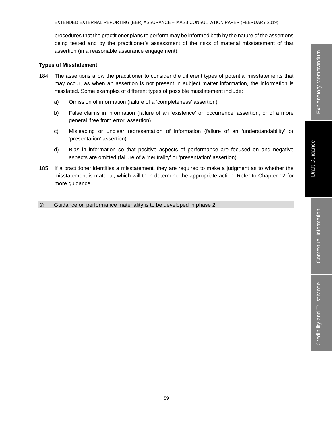procedures that the practitioner plans to perform may be informed both by the nature of the assertions being tested and by the practitioner's assessment of the risks of material misstatement of that assertion (in a reasonable assurance engagement).

#### **Types of Misstatement**

- 184. The assertions allow the practitioner to consider the different types of potential misstatements that may occur, as when an assertion is not present in subject matter information, the information is misstated. Some examples of different types of possible misstatement include:
	- a) Omission of information (failure of a 'completeness' assertion)
	- b) False claims in information (failure of an 'existence' or 'occurrence' assertion, or of a more general 'free from error' assertion)
	- c) Misleading or unclear representation of information (failure of an 'understandability' or 'presentation' assertion)
	- d) Bias in information so that positive aspects of performance are focused on and negative aspects are omitted (failure of a 'neutrality' or 'presentation' assertion)
- 185. If a practitioner identifies a misstatement, they are required to make a judgment as to whether the misstatement is material, which will then determine the appropriate action. Refer to Chapter 12 for more guidance.
- Guidance on performance materiality is to be developed in phase 2.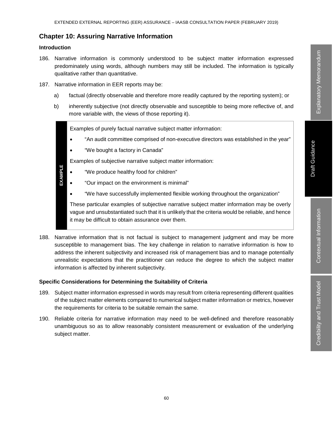# **Chapter 10: Assuring Narrative Information**

## **Introduction**

- 186. Narrative information is commonly understood to be subject matter information expressed predominately using words, although numbers may still be included. The information is typically qualitative rather than quantitative.
- 187. Narrative information in EER reports may be:
	- a) factual (directly observable and therefore more readily captured by the reporting system); or
	- b) inherently subjective (not directly observable and susceptible to being more reflective of, and more variable with, the views of those reporting it).

Examples of purely factual narrative subject matter information:

- "An audit committee comprised of non-executive directors was established in the year"
- "We bought a factory in Canada"

Examples of subjective narrative subject matter information:

- "We produce healthy food for children"
- **EXAMPLE EXAMPLE** • "Our impact on the environment is minimal"
	- "We have successfully implemented flexible working throughout the organization"

These particular examples of subjective narrative subject matter information may be overly vague and unsubstantiated such that it is unlikely that the criteria would be reliable, and hence it may be difficult to obtain assurance over them.

188. Narrative information that is not factual is subject to management judgment and may be more susceptible to management bias. The key challenge in relation to narrative information is how to address the inherent subjectivity and increased risk of management bias and to manage potentially unrealistic expectations that the practitioner can reduce the degree to which the subject matter information is affected by inherent subjectivity.

## **Specific Considerations for Determining the Suitability of Criteria**

- 189. Subject matter information expressed in words may result from criteria representing different qualities of the subject matter elements compared to numerical subject matter information or metrics, however the requirements for criteria to be suitable remain the same.
- 190. Reliable criteria for narrative information may need to be well-defined and therefore reasonably unambiguous so as to allow reasonably consistent measurement or evaluation of the underlying subject matter.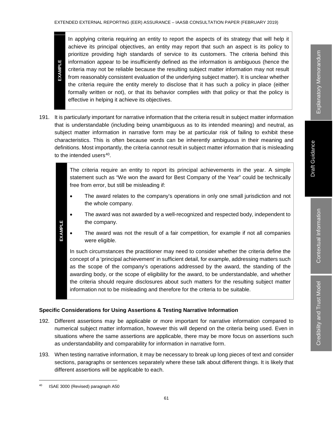In applying criteria requiring an entity to report the aspects of its strategy that will help it achieve its principal objectives, an entity may report that such an aspect is its policy to prioritize providing high standards of service to its customers. The criteria behind this information appear to be insufficiently defined as the information is ambiguous (hence the criteria may not be reliable because the resulting subject matter information may not result from reasonably consistent evaluation of the underlying subject matter). It is unclear whether the criteria require the entity merely to disclose that it has such a policy in place (either formally written or not), or that its behavior complies with that policy or that the policy is effective in helping it achieve its objectives.

191. It is particularly important for narrative information that the criteria result in subject matter information that is understandable (including being unambiguous as to its intended meaning) and neutral, as subject matter information in narrative form may be at particular risk of failing to exhibit these characteristics. This is often because words can be inherently ambiguous in their meaning and definitions. Most importantly, the criteria cannot result in subject matter information that is misleading to the intended users<sup>40</sup>.

> The criteria require an entity to report its principal achievements in the year. A simple statement such as "We won the award for Best Company of the Year" could be technically free from error, but still be misleading if:

- The award relates to the company's operations in only one small jurisdiction and not the whole company.
- The award was not awarded by a well-recognized and respected body, independent to the company.
- The award was not the result of a fair competition, for example if not all companies were eligible.

In such circumstances the practitioner may need to consider whether the criteria define the concept of a 'principal achievement' in sufficient detail, for example, addressing matters such as the scope of the company's operations addressed by the award, the standing of the awarding body, or the scope of eligibility for the award, to be understandable, and whether the criteria should require disclosures about such matters for the resulting subject matter information not to be misleading and therefore for the criteria to be suitable.

# **Specific Considerations for Using Assertions & Testing Narrative Information**

- 192. Different assertions may be applicable or more important for narrative information compared to numerical subject matter information, however this will depend on the criteria being used. Even in situations where the same assertions are applicable, there may be more focus on assertions such as understandability and comparability for information in narrative form.
- 193. When testing narrative information, it may be necessary to break up long pieces of text and consider sections, paragraphs or sentences separately where these talk about different things. It is likely that different assertions will be applicable to each.

**EXAMPLE**

**EXAMPLE** 

**EXAMPLE**

**EXAMPLE** 

ISAE 3000 (Revised) paragraph A50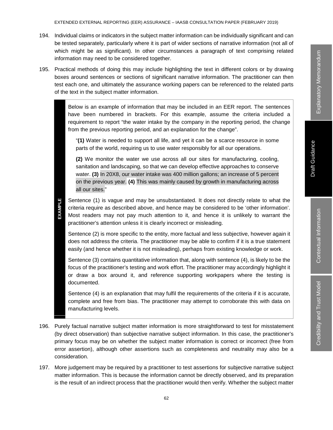- 194. Individual claims or indicators in the subject matter information can be individually significant and can be tested separately, particularly where it is part of wider sections of narrative information (not all of which might be as significant). In other circumstances a paragraph of text comprising related information may need to be considered together.
- 195. Practical methods of doing this may include highlighting the text in different colors or by drawing boxes around sentences or sections of significant narrative information. The practitioner can then test each one, and ultimately the assurance working papers can be referenced to the related parts of the text in the subject matter information.

Below is an example of information that may be included in an EER report. The sentences have been numbered in brackets. For this example, assume the criteria included a requirement to report "the water intake by the company in the reporting period, the change from the previous reporting period, and an explanation for the change".

"**(1)** Water is needed to support all life, and yet it can be a scarce resource in some parts of the world, requiring us to use water responsibly for all our operations.

**(2)** We monitor the water we use across all our sites for manufacturing, cooling, sanitation and landscaping, so that we can develop effective approaches to conserve water. **(3)** In 20X8, our water intake was 400 million gallons; an increase of 5 percent on the previous year. **(4)** This was mainly caused by growth in manufacturing across all our sites."

Sentence (1) is vague and may be unsubstantiated. It does not directly relate to what the criteria require as described above, and hence may be considered to be 'other information'. Most readers may not pay much attention to it, and hence it is unlikely to warrant the practitioner's attention unless it is clearly incorrect or misleading.

Sentence (2) is more specific to the entity, more factual and less subjective, however again it does not address the criteria. The practitioner may be able to confirm if it is a true statement easily (and hence whether it is not misleading), perhaps from existing knowledge or work.

Sentence (3) contains quantitative information that, along with sentence (4), is likely to be the focus of the practitioner's testing and work effort. The practitioner may accordingly highlight it or draw a box around it, and reference supporting workpapers where the testing is documented.

Sentence (4) is an explanation that may fulfil the requirements of the criteria if it is accurate, complete and free from bias. The practitioner may attempt to corroborate this with data on manufacturing levels.

- 196. Purely factual narrative subject matter information is more straightforward to test for misstatement (by direct observation) than subjective narrative subject information. In this case, the practitioner's primary focus may be on whether the subject matter information is correct or incorrect (free from error assertion), although other assertions such as completeness and neutrality may also be a consideration. Scribtence (1) is vague and may be unsubstantiated. It does not directly realte to what the<br>crisis recise and the practition of it, and hence it is unlikely to warrant the<br>practitioner's attention unless it is clearly inco
- 197. More judgement may be required by a practitioner to test assertions for subjective narrative subject matter information. This is because the information cannot be directly observed, and its preparation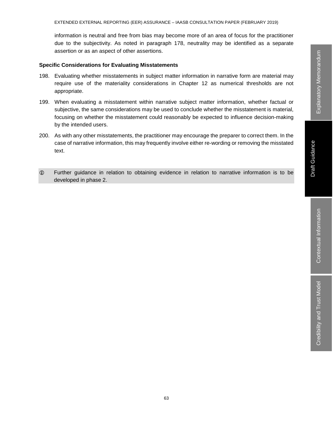information is neutral and free from bias may become more of an area of focus for the practitioner due to the subjectivity. As noted in paragraph 178, neutrality may be identified as a separate assertion or as an aspect of other assertions.

#### **Specific Considerations for Evaluating Misstatements**

- 198. Evaluating whether misstatements in subject matter information in narrative form are material may require use of the materiality considerations in Chapter 12 as numerical thresholds are not appropriate.
- 199. When evaluating a misstatement within narrative subject matter information, whether factual or subjective, the same considerations may be used to conclude whether the misstatement is material, focusing on whether the misstatement could reasonably be expected to influence decision-making by the intended users.
- 200. As with any other misstatements, the practitioner may encourage the preparer to correct them. In the case of narrative information, this may frequently involve either re-wording or removing the misstated text.
- Further guidance in relation to obtaining evidence in relation to narrative information is to be developed in phase 2.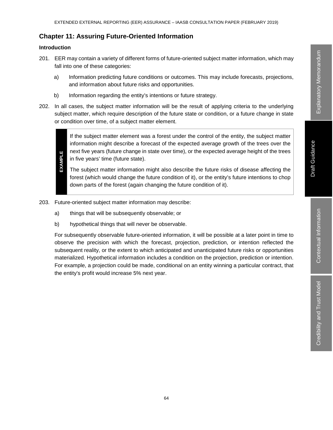# **Chapter 11: Assuring Future-Oriented Information**

# **Introduction**

- 201. EER may contain a variety of different forms of future-oriented subject matter information, which may fall into one of these categories:
	- a) Information predicting future conditions or outcomes. This may include forecasts, projections, and information about future risks and opportunities.
	- b) Information regarding the entity's intentions or future strategy.
- 202. In all cases, the subject matter information will be the result of applying criteria to the underlying subject matter, which require description of the future state or condition, or a future change in state or condition over time, of a subject matter element.



- The subject matter information might also describe the future risks of disease affecting the forest (which would change the future condition of it), or the entity's future intentions to chop down parts of the forest (again changing the future condition of it).
- 203. Future-oriented subject matter information may describe:
	- a) things that will be subsequently observable; or
	- b) hypothetical things that will never be observable.

For subsequently observable future-oriented information, it will be possible at a later point in time to observe the precision with which the forecast, projection, prediction, or intention reflected the subsequent reality, or the extent to which anticipated and unanticipated future risks or opportunities materialized. Hypothetical information includes a condition on the projection, prediction or intention. For example, a projection could be made, conditional on an entity winning a particular contract, that the entity's profit would increase 5% next year.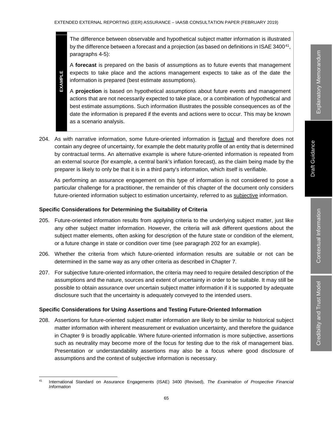The difference between observable and hypothetical subject matter information is illustrated by the difference between a forecast and a projection (as based on definitions in ISAE 3400 $41$ , paragraphs 4-5):

A **forecast** is prepared on the basis of assumptions as to future events that management expects to take place and the actions management expects to take as of the date the information is prepared (best estimate assumptions).

- EXAMPLE **EXAMPLE** A **projection** is based on hypothetical assumptions about future events and management actions that are not necessarily expected to take place, or a combination of hypothetical and best estimate assumptions. Such information illustrates the possible consequences as of the date the information is prepared if the events and actions were to occur. This may be known as a scenario analysis.
- 204. As with narrative information, some future-oriented information is factual and therefore does not contain any degree of uncertainty, for example the debt maturity profile of an entity that is determined by contractual terms. An alternative example is where future-oriented information is repeated from an external source (for example, a central bank's inflation forecast), as the claim being made by the preparer is likely to only be that it is in a third party's information, which itself is verifiable.

As performing an assurance engagement on this type of information is not considered to pose a particular challenge for a practitioner, the remainder of this chapter of the document only considers future-oriented information subject to estimation uncertainty, referred to as subjective information.

#### **Specific Considerations for Determining the Suitability of Criteria**

- 205. Future-oriented information results from applying criteria to the underlying subject matter, just like any other subject matter information. However, the criteria will ask different questions about the subject matter elements, often asking for description of the future state or condition of the element, or a future change in state or condition over time (see paragraph 202 for an example).
- 206. Whether the criteria from which future-oriented information results are suitable or not can be determined in the same way as any other criteria as described in Chapter 7.
- 207. For subjective future-oriented information, the criteria may need to require detailed description of the assumptions and the nature, sources and extent of uncertainty in order to be suitable. It may still be possible to obtain assurance over uncertain subject matter information if it is supported by adequate disclosure such that the uncertainty is adequately conveyed to the intended users.

#### **Specific Considerations for Using Assertions and Testing Future-Oriented Information**

208. Assertions for future-oriented subject matter information are likely to be similar to historical subject matter information with inherent measurement or evaluation uncertainty, and therefore the guidance in Chapter 9 is broadly applicable. Where future-oriented information is more subjective, assertions such as neutrality may become more of the focus for testing due to the risk of management bias. Presentation or understandability assertions may also be a focus where good disclosure of assumptions and the context of subjective information is necessary.

 <sup>41</sup> International Standard on Assurance Engagements (ISAE) 3400 (Revised), *The Examination of Prospective Financial Information*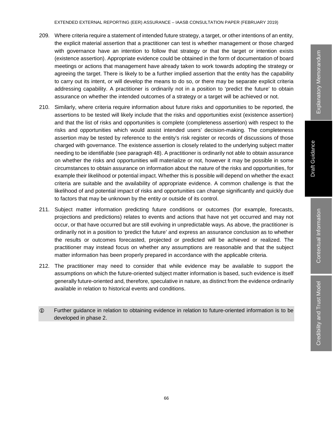- 209. Where criteria require a statement of intended future strategy, a target, or other intentions of an entity, the explicit material assertion that a practitioner can test is whether management or those charged with governance have an intention to follow that strategy or that the target or intention exists (existence assertion). Appropriate evidence could be obtained in the form of documentation of board meetings or actions that management have already taken to work towards adopting the strategy or agreeing the target. There is likely to be a further implied assertion that the entity has the capability to carry out its intent, or will develop the means to do so, or there may be separate explicit criteria addressing capability. A practitioner is ordinarily not in a position to 'predict the future' to obtain assurance on whether the intended outcomes of a strategy or a target will be achieved or not.
- 210. Similarly, where criteria require information about future risks and opportunities to be reported, the assertions to be tested will likely include that the risks and opportunities exist (existence assertion) and that the list of risks and opportunities is complete (completeness assertion) with respect to the risks and opportunities which would assist intended users' decision-making. The completeness assertion may be tested by reference to the entity's risk register or records of discussions of those charged with governance. The existence assertion is closely related to the underlying subject matter needing to be identifiable (see paragraph 48). A practitioner is ordinarily not able to obtain assurance on whether the risks and opportunities will materialize or not, however it may be possible in some circumstances to obtain assurance on information about the nature of the risks and opportunities, for example their likelihood or potential impact. Whether this is possible will depend on whether the exact criteria are suitable and the availability of appropriate evidence. A common challenge is that the likelihood of and potential impact of risks and opportunities can change significantly and quickly due to factors that may be unknown by the entity or outside of its control.
- 211. Subject matter information predicting future conditions or outcomes (for example, forecasts, projections and predictions) relates to events and actions that have not yet occurred and may not occur, or that have occurred but are still evolving in unpredictable ways. As above, the practitioner is ordinarily not in a position to 'predict the future' and express an assurance conclusion as to whether the results or outcomes forecasted, projected or predicted will be achieved or realized. The practitioner may instead focus on whether any assumptions are reasonable and that the subject matter information has been properly prepared in accordance with the applicable criteria.
- 212. The practitioner may need to consider that while evidence may be available to support the assumptions on which the future-oriented subject matter information is based, such evidence is itself generally future-oriented and, therefore, speculative in nature, as distinct from the evidence ordinarily available in relation to historical events and conditions.
- Further guidance in relation to obtaining evidence in relation to future-oriented information is to be developed in phase 2.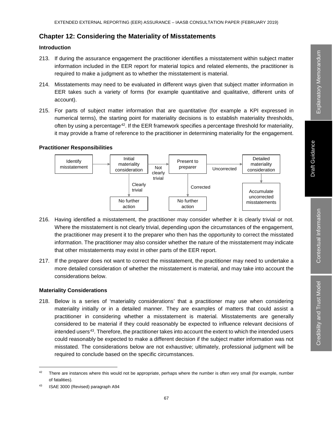# **Chapter 12: Considering the Materiality of Misstatements**

# **Introduction**

- 213. If during the assurance engagement the practitioner identifies a misstatement within subject matter information included in the EER report for material topics and related elements, the practitioner is required to make a judgment as to whether the misstatement is material.
- 214. Misstatements may need to be evaluated in different ways given that subject matter information in EER takes such a variety of forms (for example quantitative and qualitative, different units of account).
- 215. For parts of subject matter information that are quantitative (for example a KPI expressed in numerical terms), the starting point for materiality decisions is to establish materiality thresholds, often by using a percentage<sup>42</sup>. If the EER framework specifies a percentage threshold for materiality, it may provide a frame of reference to the practitioner in determining materiality for the engagement.

# **Practitioner Responsibilities**



- 216. Having identified a misstatement, the practitioner may consider whether it is clearly trivial or not. Where the misstatement is not clearly trivial, depending upon the circumstances of the engagement, the practitioner may present it to the preparer who then has the opportunity to correct the misstated information. The practitioner may also consider whether the nature of the misstatement may indicate that other misstatements may exist in other parts of the EER report.
- 217. If the preparer does not want to correct the misstatement, the practitioner may need to undertake a more detailed consideration of whether the misstatement is material, and may take into account the considerations below.

# **Materiality Considerations**

218. Below is a series of 'materiality considerations' that a practitioner may use when considering materiality initially or in a detailed manner. They are examples of matters that could assist a practitioner in considering whether a misstatement is material. Misstatements are generally considered to be material if they could reasonably be expected to influence relevant decisions of intended users<sup>43</sup>. Therefore, the practitioner takes into account the extent to which the intended users could reasonably be expected to make a different decision if the subject matter information was not misstated. The considerations below are not exhaustive; ultimately, professional judgment will be required to conclude based on the specific circumstances.

 $42$  There are instances where this would not be appropriate, perhaps where the number is often very small (for example, number of fatalities).

<sup>43</sup> ISAE 3000 (Revised) paragraph A94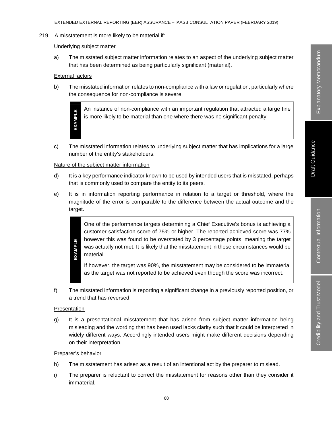#### 219. A misstatement is more likely to be material if:

#### Underlying subject matter

a) The misstated subject matter information relates to an aspect of the underlying subject matter that has been determined as being particularly significant (material).

### External factors

**EXAMPLE**

**EXAMPLE** 

b) The misstated information relates to non-compliance with a law or regulation, particularly where the consequence for non-compliance is severe.

> An instance of non-compliance with an important regulation that attracted a large fine is more likely to be material than one where there was no significant penalty.

c) The misstated information relates to underlying subject matter that has implications for a large number of the entity's stakeholders.

#### Nature of the subject matter information

- d) It is a key performance indicator known to be used by intended users that is misstated, perhaps that is commonly used to compare the entity to its peers.
- e) It is in information reporting performance in relation to a target or threshold, where the magnitude of the error is comparable to the difference between the actual outcome and the target.

One of the performance targets determining a Chief Executive's bonus is achieving a customer satisfaction score of 75% or higher. The reported achieved score was 77% however this was found to be overstated by 3 percentage points, meaning the target was actually not met. It is likely that the misstatement in these circumstances would be material.

If however, the target was 90%, the misstatement may be considered to be immaterial as the target was not reported to be achieved even though the score was incorrect.

f) The misstated information is reporting a significant change in a previously reported position, or a trend that has reversed.

#### Presentation

**EXAMPLE**

g) It is a presentational misstatement that has arisen from subject matter information being misleading and the wording that has been used lacks clarity such that it could be interpreted in widely different ways. Accordingly intended users might make different decisions depending on their interpretation.

# Preparer's behavior

- h) The misstatement has arisen as a result of an intentional act by the preparer to mislead.
- i) The preparer is reluctant to correct the misstatement for reasons other than they consider it immaterial.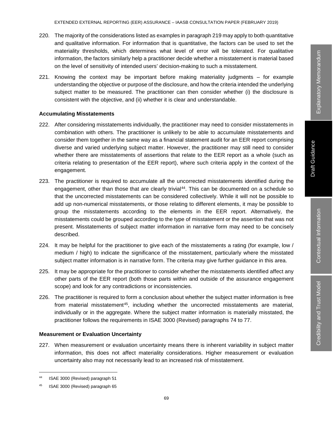- 220. The majority of the considerations listed as examples in paragraph 219 may apply to both quantitative and qualitative information. For information that is quantitative, the factors can be used to set the materiality thresholds, which determines what level of error will be tolerated. For qualitative information, the factors similarly help a practitioner decide whether a misstatement is material based on the level of sensitivity of intended users' decision-making to such a misstatement.
- 221. Knowing the context may be important before making materiality judgments for example understanding the objective or purpose of the disclosure, and how the criteria intended the underlying subject matter to be measured. The practitioner can then consider whether (i) the disclosure is consistent with the objective, and (ii) whether it is clear and understandable.

## **Accumulating Misstatements**

- 222. After considering misstatements individually, the practitioner may need to consider misstatements in combination with others. The practitioner is unlikely to be able to accumulate misstatements and consider them together in the same way as a financial statement audit for an EER report comprising diverse and varied underlying subject matter. However, the practitioner may still need to consider whether there are misstatements of assertions that relate to the EER report as a whole (such as criteria relating to presentation of the EER report), where such criteria apply in the context of the engagement.
- 223. The practitioner is required to accumulate all the uncorrected misstatements identified during the engagement, other than those that are clearly trivial<sup>44</sup>. This can be documented on a schedule so that the uncorrected misstatements can be considered collectively. While it will not be possible to add up non-numerical misstatements, or those relating to different elements, it may be possible to group the misstatements according to the elements in the EER report. Alternatively, the misstatements could be grouped according to the type of misstatement or the assertion that was not present. Misstatements of subject matter information in narrative form may need to be concisely described.
- 224. It may be helpful for the practitioner to give each of the misstatements a rating (for example, low / medium / high) to indicate the significance of the misstatement, particularly where the misstated subject matter information is in narrative form. The criteria may give further guidance in this area.
- 225. It may be appropriate for the practitioner to consider whether the misstatements identified affect any other parts of the EER report (both those parts within and outside of the assurance engagement scope) and look for any contradictions or inconsistencies.
- 226. The practitioner is required to form a conclusion about whether the subject matter information is free from material misstatement<sup>45</sup>, including whether the uncorrected misstatements are material, individually or in the aggregate. Where the subject matter information is materially misstated, the practitioner follows the requirements in ISAE 3000 (Revised) paragraphs 74 to 77.

# **Measurement or Evaluation Uncertainty**

227. When measurement or evaluation uncertainty means there is inherent variability in subject matter information, this does not affect materiality considerations. Higher measurement or evaluation uncertainty also may not necessarily lead to an increased risk of misstatement.

 <sup>44</sup> ISAE 3000 (Revised) paragraph 51

<sup>45</sup> ISAE 3000 (Revised) paragraph 65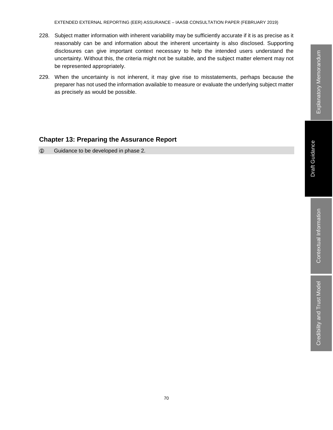- 228. Subject matter information with inherent variability may be sufficiently accurate if it is as precise as it reasonably can be and information about the inherent uncertainty is also disclosed. Supporting disclosures can give important context necessary to help the intended users understand the uncertainty. Without this, the criteria might not be suitable, and the subject matter element may not be represented appropriately.
- 229. When the uncertainty is not inherent, it may give rise to misstatements, perhaps because the preparer has not used the information available to measure or evaluate the underlying subject matter as precisely as would be possible.

# **Chapter 13: Preparing the Assurance Report**

Guidance to be developed in phase 2.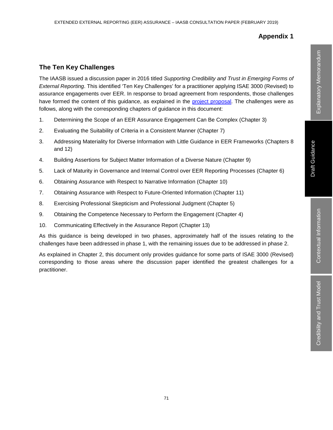# **Appendix 1**

# **The Ten Key Challenges**

The IAASB issued a discussion paper in 2016 titled *Supporting Credibility and Trust in Emerging Forms of External Reporting*. This identified 'Ten Key Challenges' for a practitioner applying ISAE 3000 (Revised) to assurance engagements over EER. In response to broad agreement from respondents, those challenges have formed the content of this guidance, as explained in the project proposal. The challenges were as follows, along with the corresponding chapters of guidance in this document:

- 1. Determining the Scope of an EER Assurance Engagement Can Be Complex (Chapter 3)
- 2. Evaluating the Suitability of Criteria in a Consistent Manner (Chapter 7)
- 3. Addressing Materiality for Diverse Information with Little Guidance in EER Frameworks (Chapters 8 and 12)
- 4. Building Assertions for Subject Matter Information of a Diverse Nature (Chapter 9)
- 5. Lack of Maturity in Governance and Internal Control over EER Reporting Processes (Chapter 6)
- 6. Obtaining Assurance with Respect to Narrative Information (Chapter 10)
- 7. Obtaining Assurance with Respect to Future-Oriented Information (Chapter 11)
- 8. Exercising Professional Skepticism and Professional Judgment (Chapter 5)
- 9. Obtaining the Competence Necessary to Perform the Engagement (Chapter 4)
- 10. Communicating Effectively in the Assurance Report (Chapter 13)

As this guidance is being developed in two phases, approximately half of the issues relating to the challenges have been addressed in phase 1, with the remaining issues due to be addressed in phase 2.

As explained in Chapter 2, this document only provides guidance for some parts of ISAE 3000 (Revised) corresponding to those areas where the discussion paper identified the greatest challenges for a practitioner.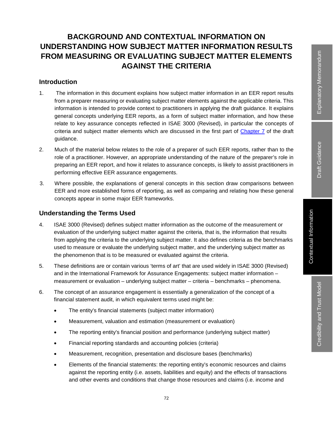Credibility and Trust Model

Credibility and Trust Model

# **BACKGROUND AND CONTEXTUAL INFORMATION ON UNDERSTANDING HOW SUBJECT MATTER INFORMATION RESULTS FROM MEASURING OR EVALUATING SUBJECT MATTER ELEMENTS AGAINST THE CRITERIA**

# **Introduction**

- 1. The information in this document explains how subject matter information in an EER report results from a preparer measuring or evaluating subject matter elements against the applicable criteria. This information is intended to provide context to practitioners in applying the draft guidance. It explains general concepts underlying EER reports, as a form of subject matter information, and how these relate to key assurance concepts reflected in ISAE 3000 (Revised), in particular the concepts of criteria and subject matter elements which are discussed in the first part of Chapter 7 of the draft guidance.
- 2. Much of the material below relates to the role of a preparer of such EER reports, rather than to the role of a practitioner. However, an appropriate understanding of the nature of the preparer's role in preparing an EER report, and how it relates to assurance concepts, is likely to assist practitioners in performing effective EER assurance engagements.
- 3. Where possible, the explanations of general concepts in this section draw comparisons between EER and more established forms of reporting, as well as comparing and relating how these general concepts appear in some major EER frameworks.

# **Understanding the Terms Used**

- 4. ISAE 3000 (Revised) defines subject matter information as the outcome of the measurement or evaluation of the underlying subject matter against the criteria, that is, the information that results from applying the criteria to the underlying subject matter. It also defines criteria as the benchmarks used to measure or evaluate the underlying subject matter, and the underlying subject matter as the phenomenon that is to be measured or evaluated against the criteria.
- 5. These definitions are or contain various 'terms of art' that are used widely in ISAE 3000 (Revised) and in the International Framework for Assurance Engagements: subject matter information – measurement or evaluation – underlying subject matter – criteria – benchmarks – phenomena.
- 6. The concept of an assurance engagement is essentially a generalization of the concept of a financial statement audit, in which equivalent terms used might be:
	- The entity's financial statements (subject matter information)
	- Measurement, valuation and estimation (measurement or evaluation)
	- The reporting entity's financial position and performance (underlying subject matter)
	- Financial reporting standards and accounting policies (criteria)
	- Measurement, recognition, presentation and disclosure bases (benchmarks)
	- Elements of the financial statements: the reporting entity's economic resources and claims against the reporting entity (i.e. assets, liabilities and equity) and the effects of transactions and other events and conditions that change those resources and claims (i.e. income and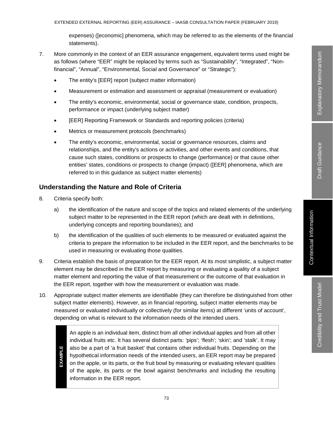expenses) ([economic] phenomena, which may be referred to as the elements of the financial statements).

- 7. More commonly in the context of an EER assurance engagement, equivalent terms used might be as follows (where "EER" might be replaced by terms such as "Sustainability", "Integrated", "Nonfinancial", "Annual", "Environmental, Social and Governance" or "Strategic"):
	- The entity's [EER] report (subject matter information)
	- Measurement or estimation and assessment or appraisal (measurement or evaluation)
	- The entity's economic, environmental, social or governance state, condition, prospects, performance or impact (underlying subject matter)
	- [EER] Reporting Framework or Standards and reporting policies (criteria)
	- Metrics or measurement protocols (benchmarks)
	- The entity's economic, environmental, social or governance resources, claims and relationships, and the entity's actions or activities, and other events and conditions, that cause such states, conditions or prospects to change (performance) or that cause other entities' states, conditions or prospects to change (impact) ([EER] phenomena, which are referred to in this guidance as subject matter elements)

### **Understanding the Nature and Role of Criteria**

- 8. Criteria specify both:
	- a) the identification of the nature and scope of the topics and related elements of the underlying subject matter to be represented in the EER report (which are dealt with in definitions, underlying concepts and reporting boundaries); and
	- b) the identification of the qualities of such elements to be measured or evaluated against the criteria to prepare the information to be included in the EER report, and the benchmarks to be used in measuring or evaluating those qualities.
- 9. Criteria establish the basis of preparation for the EER report. At its most simplistic, a subject matter element may be described in the EER report by measuring or evaluating a quality of a subject matter element and reporting the value of that measurement or the outcome of that evaluation in the EER report, together with how the measurement or evaluation was made.
- 10. Appropriate subject matter elements are identifiable (they can therefore be distinguished from other subject matter elements). However, as in financial reporting, subject matter elements may be measured or evaluated individually or collectively (for similar items) at different 'units of account', depending on what is relevant to the information needs of the intended users.

An apple is an individual item, distinct from all other individual apples and from all other individual fruits etc. It has several distinct parts: 'pips'; 'flesh'; 'skin'; and 'stalk'. It may also be a part of 'a fruit basket' that contains other individual fruits. Depending on the hypothetical information needs of the intended users, an EER report may be prepared on the apple, or its parts, or the fruit bowl by measuring or evaluating relevant qualities of the apple, its parts or the bowl against benchmarks and including the resulting information in the EER report.

**EXAMPLE EXAMPLE**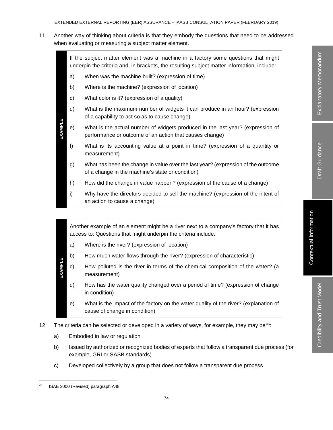11. Another way of thinking about criteria is that they embody the questions that need to be addressed when evaluating or measuring a subject matter element.



Another example of an element might be a river next to a company's factory that it has access to. Questions that might underpin the criteria include:

- a) Where is the river? (expression of location)
- b) How much water flows through the river? (expression of characteristic)
- EXAMPLE **EXAMPLE** c) How polluted is the river in terms of the chemical composition of the water? (a measurement)
	- d) How has the water quality changed over a period of time? (expression of change in condition)
	- e) What is the impact of the factory on the water quality of the river? (explanation of cause of change in condition)
- 12. The criteria can be selected or developed in a variety of ways, for example, they may be $46$ :
	- a) Embodied in law or regulation
	- b) Issued by authorized or recognized bodies of experts that follow a transparent due process (for example, GRI or SASB standards)
	- c) Developed collectively by a group that does not follow a transparent due process

ISAE 3000 (Revised) paragraph A48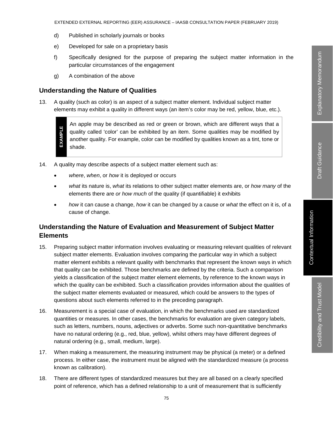- d) Published in scholarly journals or books
- e) Developed for sale on a proprietary basis
- f) Specifically designed for the purpose of preparing the subject matter information in the particular circumstances of the engagement
- g) A combination of the above

### **Understanding the Nature of Qualities**

13. A quality (such as color) is an aspect of a subject matter element. Individual subject matter elements may exhibit a quality in different ways (an item's color may be red, yellow, blue, etc.).

**EXAMPLE EXAMPLE**

An apple may be described as red or green or brown, which are different ways that a quality called 'color' can be exhibited by an item. Some qualities may be modified by another quality. For example, color can be modified by qualities known as a tint, tone or shade.

- 14. A quality may describe aspects of a subject matter element such as:
	- *where*, *when*, or *how* it is deployed or occurs
	- *what* its nature is, *what* its relations to other subject matter elements are, or *how many* of the elements there are *or how much* of the quality (if quantifiable) it exhibits
	- *how* it can cause a change, *how* it can be changed by a cause or *what* the effect on it is, of a cause of change.

### **Understanding the Nature of Evaluation and Measurement of Subject Matter Elements**

- 15. Preparing subject matter information involves evaluating or measuring relevant qualities of relevant subject matter elements. Evaluation involves comparing the particular way in which a subject matter element exhibits a relevant quality with benchmarks that represent the known ways in which that quality can be exhibited. Those benchmarks are defined by the criteria. Such a comparison yields a classification of the subject matter element elements, by reference to the known ways in which the quality can be exhibited. Such a classification provides information about the qualities of the subject matter elements evaluated or measured, which could be answers to the types of questions about such elements referred to in the preceding paragraph.
- 16. Measurement is a special case of evaluation, in which the benchmarks used are standardized quantities or measures. In other cases, the benchmarks for evaluation are given category labels, such as letters, numbers, nouns, adjectives or adverbs. Some such non-quantitative benchmarks have no natural ordering (e.g., red, blue, yellow), whilst others may have different degrees of natural ordering (e.g., small, medium, large).
- 17. When making a measurement, the measuring instrument may be physical (a meter) or a defined process. In either case, the instrument must be aligned with the standardized measure (a process known as calibration).
- 18. There are different types of standardized measures but they are all based on a clearly specified point of reference, which has a defined relationship to a unit of measurement that is sufficiently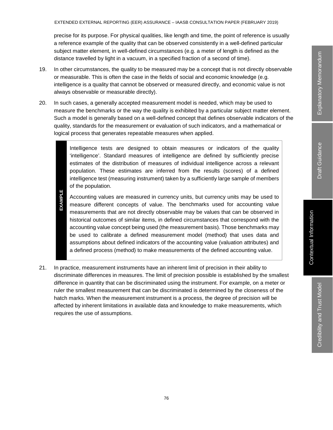precise for its purpose. For physical qualities, like length and time, the point of reference is usually a reference example of the quality that can be observed consistently in a well-defined particular subject matter element, in well-defined circumstances (e.g. a meter of length is defined as the distance travelled by light in a vacuum, in a specified fraction of a second of time).

- 19. In other circumstances, the quality to be measured may be a concept that is not directly observable or measurable. This is often the case in the fields of social and economic knowledge (e.g. intelligence is a quality that cannot be observed or measured directly, and economic value is not always observable or measurable directly).
- 20. In such cases, a generally accepted measurement model is needed, which may be used to measure the benchmarks or the way the quality is exhibited by a particular subject matter element. Such a model is generally based on a well-defined concept that defines observable indicators of the quality, standards for the measurement or evaluation of such indicators, and a mathematical or logical process that generates repeatable measures when applied.

Intelligence tests are designed to obtain measures or indicators of the quality 'intelligence'. Standard measures of intelligence are defined by sufficiently precise estimates of the distribution of measures of individual intelligence across a relevant population. These estimates are inferred from the results (scores) of a defined intelligence test (measuring instrument) taken by a sufficiently large sample of members of the population.

- **EXAMPLE EXAMPLE** Accounting values are measured in currency units, but currency units may be used to measure different concepts of value. The benchmarks used for accounting value measurements that are not directly observable may be values that can be observed in historical outcomes of similar items, in defined circumstances that correspond with the accounting value concept being used (the measurement basis). Those benchmarks may be used to calibrate a defined measurement model (method) that uses data and assumptions about defined indicators of the accounting value (valuation attributes) and a defined process (method) to make measurements of the defined accounting value.
- 21. In practice, measurement instruments have an inherent limit of precision in their ability to discriminate differences in measures. The limit of precision possible is established by the smallest difference in quantity that can be discriminated using the instrument. For example, on a meter or ruler the smallest measurement that can be discriminated is determined by the closeness of the hatch marks. When the measurement instrument is a process, the degree of precision will be affected by inherent limitations in available data and knowledge to make measurements, which requires the use of assumptions.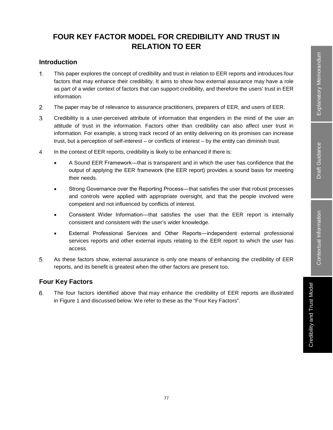# **FOUR KEY FACTOR MODEL FOR CREDIBILITY AND TRUST IN RELATION TO EER**

# **Introduction**

- $1<sub>1</sub>$ This paper explores the concept of credibility and trust in relation to EER reports and introduces four factors that may enhance their credibility. It aims to show how external assurance may have a role as part of a wider context of factors that can support credibility, and therefore the users' trust in EER information.
- 2. The paper may be of relevance to assurance practitioners, preparers of EER, and users of EER.
- 3. Credibility is a user-perceived attribute of information that engenders in the mind of the user an attitude of trust in the information. Factors other than credibility can also affect user trust in information. For example, a strong track record of an entity delivering on its promises can increase trust, but a perception of self-interest – or conflicts of interest – by the entity can diminish trust.
- 4. In the context of EER reports, credibility is likely to be enhanced if there is:
	- A Sound EER Framework—that is transparent and in which the user has confidence that the output of applying the EER framework (the EER report) provides a sound basis for meeting their needs.
	- Strong Governance over the Reporting Process—that satisfies the user that robust processes and controls were applied with appropriate oversight, and that the people involved were competent and not influenced by conflicts of interest.
	- Consistent Wider Information—that satisfies the user that the EER report is internally consistent and consistent with the user's wider knowledge.
	- External Professional Services and Other Reports―independent external professional services reports and other external inputs relating to the EER report to which the user has access.
- 5. As these factors show, external assurance is only one means of enhancing the credibility of EER reports, and its benefit is greatest when the other factors are present too.

# **Four Key Factors**

6. The four factors identified above that may enhance the credibility of EER reports are illustrated in Figure 1 and discussed below. We refer to these as the "Four Key Factors".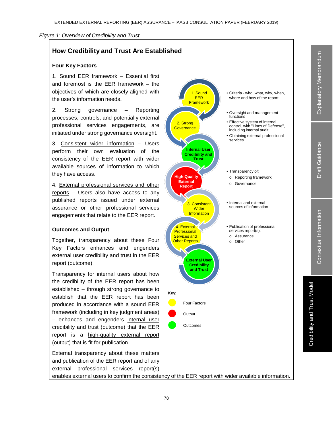#### *Figure 1: Overview of Credibility and Trust*

## **How Credibility and Trust Are Established**

### **Four Key Factors**

1. Sound EER framework – Essential first and foremost is the EER framework – the objectives of which are closely aligned with the user's information needs.

2. Strong governance – Reporting processes, controls, and potentially external professional services engagements, are initiated under strong governance oversight.

3. Consistent wider information – Users perform their own evaluation of the consistency of the EER report with wider available sources of information to which they have access.

4. External professional services and other reports – Users also have access to any published reports issued under external assurance or other professional services engagements that relate to the EER report.

#### **Outcomes and Output**

Together, transparency about these Four Key Factors enhances and engenders external user credibility and trust in the EER report (outcome).

Transparency for internal users about how the credibility of the EER report has been established – through strong governance to establish that the EER report has been produced in accordance with a sound EER framework (including in key judgment areas) - enhances and engenders internal user credibility and trust (outcome) that the EER report is a high-quality external report (output) that is fit for publication.

External transparency about these matters and publication of the EER report and of any external professional services report(s) enables external users to confirm the consistency of the EER report with wider available information.

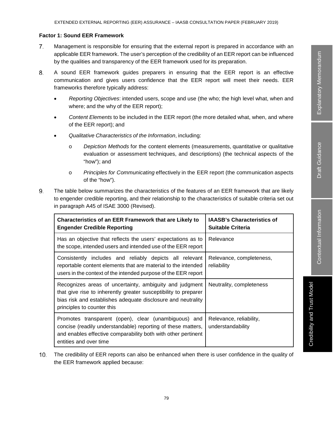Credibility and Trust Model

Credibility and Trust Model

#### **Factor 1: Sound EER Framework**

- Management is responsible for ensuring that the external report is prepared in accordance with an 7. applicable EER framework. The user's perception of the credibility of an EER report can be influenced by the qualities and transparency of the EER framework used for its preparation.
- 8. A sound EER framework guides preparers in ensuring that the EER report is an effective communication and gives users confidence that the EER report will meet their needs. EER frameworks therefore typically address:
	- *Reporting Objectives*: intended users, scope and use (the who; the high level what, when and where; and the why of the EER report);
	- *Content Elements* to be included in the EER report (the more detailed what, when, and where of the EER report); and
	- *Qualitative Characteristics of the Information*, including:
		- o *Depiction Methods* for the content elements (measurements, quantitative or qualitative evaluation or assessment techniques, and descriptions) (the technical aspects of the "how"); and
		- o *Principles for Communicating* effectively in the EER report (the communication aspects of the "how").
- 9. The table below summarizes the characteristics of the features of an EER framework that are likely to engender credible reporting, and their relationship to the characteristics of suitable criteria set out in paragraph A45 of ISAE 3000 (Revised).

| <b>Characteristics of an EER Framework that are Likely to</b><br><b>Engender Credible Reporting</b>                                                                                                                      | <b>IAASB's Characteristics of</b><br><b>Suitable Criteria</b> |
|--------------------------------------------------------------------------------------------------------------------------------------------------------------------------------------------------------------------------|---------------------------------------------------------------|
| Has an objective that reflects the users' expectations as to<br>the scope, intended users and intended use of the EER report                                                                                             | Relevance                                                     |
| Consistently includes and reliably depicts all relevant<br>reportable content elements that are material to the intended<br>users in the context of the intended purpose of the EER report                               | Relevance, completeness,<br>reliability                       |
| Recognizes areas of uncertainty, ambiguity and judgment<br>that give rise to inherently greater susceptibility to preparer<br>bias risk and establishes adequate disclosure and neutrality<br>principles to counter this | Neutrality, completeness                                      |
| Promotes transparent (open), clear (unambiguous) and<br>concise (readily understandable) reporting of these matters,<br>and enables effective comparability both with other pertinent<br>entities and over time          | Relevance, reliability,<br>understandability                  |

The credibility of EER reports can also be enhanced when there is user confidence in the quality of the EER framework applied because: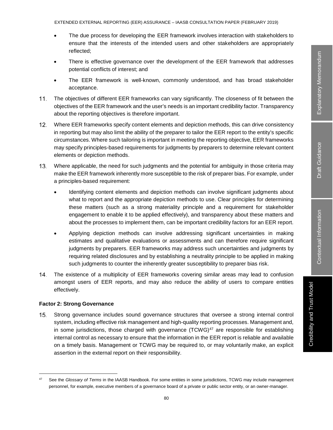EXTENDED EXTERNAL REPORTING (EER) ASSURANCE – IAASB CONSULTATION PAPER (FEBRUARY 2019)

- The due process for developing the EER framework involves interaction with stakeholders to ensure that the interests of the intended users and other stakeholders are appropriately reflected;
- There is effective governance over the development of the EER framework that addresses potential conflicts of interest; and
- The EER framework is well-known, commonly understood, and has broad stakeholder acceptance.
- $11.$ The objectives of different EER frameworks can vary significantly. The closeness of fit between the objectives of the EER framework and the user's needs is an important credibility factor. Transparency about the reporting objectives is therefore important.
- $12.$ Where EER frameworks specify content elements and depiction methods, this can drive consistency in reporting but may also limit the ability of the preparer to tailor the EER report to the entity's specific circumstances. Where such tailoring is important in meeting the reporting objective, EER frameworks may specify principles-based requirements for judgments by preparers to determine relevant content elements or depiction methods.
- 13. Where applicable, the need for such judgments and the potential for ambiguity in those criteria may make the EER framework inherently more susceptible to the risk of preparer bias. For example, under a principles-based requirement:
	- Identifying content elements and depiction methods can involve significant judgments about what to report and the appropriate depiction methods to use. Clear principles for determining these matters (such as a strong materiality principle and a requirement for stakeholder engagement to enable it to be applied effectively), and transparency about these matters and about the processes to implement them, can be important credibility factors for an EER report.
	- Applying depiction methods can involve addressing significant uncertainties in making estimates and qualitative evaluations or assessments and can therefore require significant judgments by preparers. EER frameworks may address such uncertainties and judgments by requiring related disclosures and by establishing a neutrality principle to be applied in making such judgments to counter the inherently greater susceptibility to preparer bias risk.
- 14. The existence of a multiplicity of EER frameworks covering similar areas may lead to confusion amongst users of EER reports, and may also reduce the ability of users to compare entities effectively.

### **Factor 2: Strong Governance**

15. Strong governance includes sound governance structures that oversee a strong internal control system, including effective risk management and high-quality reporting processes. Management and, in some jurisdictions, those charged with governance  $(TCWG)^{47}$  are responsible for establishing internal control as necessary to ensure that the information in the EER report is reliable and available on a timely basis. Management or TCWG may be required to, or may voluntarily make, an explicit assertion in the external report on their responsibility.

 <sup>47</sup> See the *Glossary of Terms* in the IAASB Handbook. For some entities in some jurisdictions, TCWG may include management personnel, for example, executive members of a governance board of a private or public sector entity, or an owner-manager.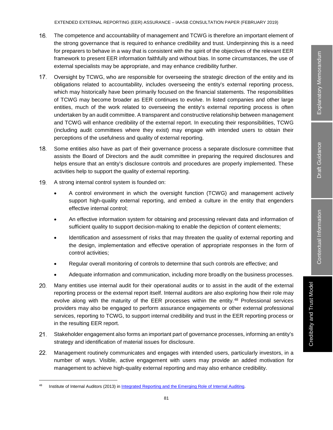EXTENDED EXTERNAL REPORTING (EER) ASSURANCE – IAASB CONSULTATION PAPER (FEBRUARY 2019)

- 16. The competence and accountability of management and TCWG is therefore an important element of the strong governance that is required to enhance credibility and trust. Underpinning this is a need for preparers to behave in a way that is consistent with the spirit of the objectives of the relevant EER framework to present EER information faithfully and without bias. In some circumstances, the use of external specialists may be appropriate, and may enhance credibility further.
- $17.$ Oversight by TCWG, who are responsible for overseeing the strategic direction of the entity and its obligations related to accountability, includes overseeing the entity's external reporting process, which may historically have been primarily focused on the financial statements. The responsibilities of TCWG may become broader as EER continues to evolve. In listed companies and other large entities, much of the work related to overseeing the entity's external reporting process is often undertaken by an audit committee. A transparent and constructive relationship between management and TCWG will enhance credibility of the external report. In executing their responsibilities, TCWG (including audit committees where they exist) may engage with intended users to obtain their perceptions of the usefulness and quality of external reporting.
- 18. Some entities also have as part of their governance process a separate disclosure committee that assists the Board of Directors and the audit committee in preparing the required disclosures and helps ensure that an entity's disclosure controls and procedures are properly implemented. These activities help to support the quality of external reporting.
- 19. A strong internal control system is founded on:
	- A control environment in which the oversight function (TCWG) and management actively support high-quality external reporting, and embed a culture in the entity that engenders effective internal control;
	- An effective information system for obtaining and processing relevant data and information of sufficient quality to support decision-making to enable the depiction of content elements;
	- Identification and assessment of risks that may threaten the quality of external reporting and the design, implementation and effective operation of appropriate responses in the form of control activities;
	- Regular overall monitoring of controls to determine that such controls are effective; and
	- Adequate information and communication, including more broadly on the business processes.
- 20. Many entities use internal audit for their operational audits or to assist in the audit of the external reporting process or the external report itself. Internal auditors are also exploring how their role may evolve along with the maturity of the EER processes within the entity.<sup>48</sup> Professional services providers may also be engaged to perform assurance engagements or other external professional services, reporting to TCWG, to support internal credibility and trust in the EER reporting process or in the resulting EER report.
- $21.$ Stakeholder engagement also forms an important part of governance processes, informing an entity's strategy and identification of material issues for disclosure.
- 22. Management routinely communicates and engages with intended users, particularly investors, in a number of ways. Visible, active engagement with users may provide an added motivation for management to achieve high-quality external reporting and may also enhance credibility.

Institute of Internal Auditors (2013) in Integrated Reporting and the Emerging Role of Internal Auditing.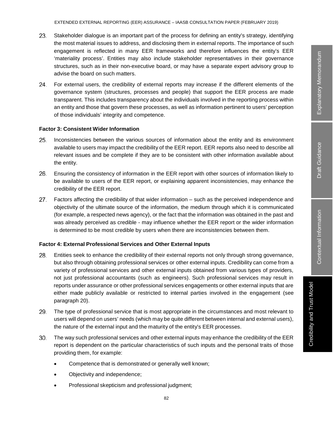- 23. Stakeholder dialogue is an important part of the process for defining an entity's strategy, identifying the most material issues to address, and disclosing them in external reports. The importance of such engagement is reflected in many EER frameworks and therefore influences the entity's EER 'materiality process'. Entities may also include stakeholder representatives in their governance structures, such as in their non-executive board, or may have a separate expert advisory group to advise the board on such matters.
- For external users, the credibility of external reports may increase if the different elements of the 24. governance system (structures, processes and people) that support the EER process are made transparent. This includes transparency about the individuals involved in the reporting process within an entity and those that govern these processes, as well as information pertinent to users' perception of those individuals' integrity and competence.

#### **Factor 3: Consistent Wider Information**

- $25.$ Inconsistencies between the various sources of information about the entity and its environment available to users may impact the credibility of the EER report. EER reports also need to describe all relevant issues and be complete if they are to be consistent with other information available about the entity.
- 26. Ensuring the consistency of information in the EER report with other sources of information likely to be available to users of the EER report, or explaining apparent inconsistencies, may enhance the credibility of the EER report.
- 27. Factors affecting the credibility of that wider information – such as the perceived independence and objectivity of the ultimate source of the information, the medium through which it is communicated (for example, a respected news agency), or the fact that the information was obtained in the past and was already perceived as credible - may influence whether the EER report or the wider information is determined to be most credible by users when there are inconsistencies between them.

### **Factor 4: External Professional Services and Other External Inputs**

- 28. Entities seek to enhance the credibility of their external reports not only through strong governance, but also through obtaining professional services or other external inputs. Credibility can come from a variety of professional services and other external inputs obtained from various types of providers, not just professional accountants (such as engineers). Such professional services may result in reports under assurance or other professional services engagements or other external inputs that are either made publicly available or restricted to internal parties involved in the engagement (see paragraph 20).
- 29. The type of professional service that is most appropriate in the circumstances and most relevant to users will depend on users' needs (which may be quite different between internal and external users), the nature of the external input and the maturity of the entity's EER processes.
- 30. The way such professional services and other external inputs may enhance the credibility of the EER report is dependent on the particular characteristics of such inputs and the personal traits of those providing them, for example:
	- Competence that is demonstrated or generally well known;
	- Objectivity and independence;
	- Professional skepticism and professional judgment;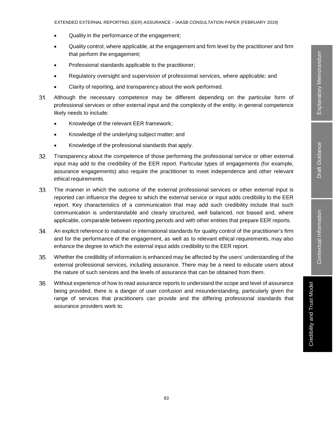- Quality in the performance of the engagement;
- Quality control, where applicable, at the engagement and firm level by the practitioner and firm that perform the engagement;
- Professional standards applicable to the practitioner;
- Regulatory oversight and supervision of professional services, where applicable; and
- Clarity of reporting, and transparency about the work performed.
- Although the necessary competence may be different depending on the particular form of  $31.$ professional services or other external input and the complexity of the entity, in general competence likely needs to include:
	- Knowledge of the relevant EER framework;
	- Knowledge of the underlying subject matter; and
	- Knowledge of the professional standards that apply.
- 32. Transparency about the competence of those performing the professional service or other external input may add to the credibility of the EER report. Particular types of engagements (for example, assurance engagements) also require the practitioner to meet independence and other relevant ethical requirements.
- 33. The manner in which the outcome of the external professional services or other external input is reported can influence the degree to which the external service or input adds credibility to the EER report. Key characteristics of a communication that may add such credibility include that such communication is understandable and clearly structured, well balanced, not biased and, where applicable, comparable between reporting periods and with other entities that prepare EER reports.
- An explicit reference to national or international standards for quality control of the practitioner's firm and for the performance of the engagement, as well as to relevant ethical requirements, may also enhance the degree to which the external input adds credibility to the EER report.
- Whether the credibility of information is enhanced may be affected by the users' understanding of the 35. external professional services, including assurance. There may be a need to educate users about the nature of such services and the levels of assurance that can be obtained from them.
- 36. Without experience of how to read assurance reports to understand the scope and level of assurance being provided, there is a danger of user confusion and misunderstanding, particularly given the range of services that practitioners can provide and the differing professional standards that assurance providers work to.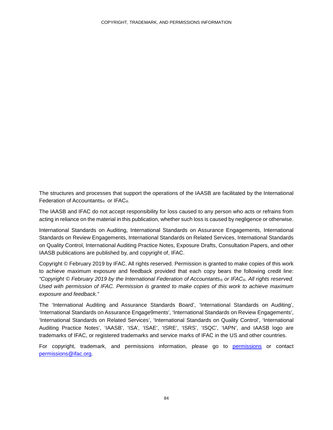The structures and processes that support the operations of the IAASB are facilitated by the International Federation of Accountants<sup>®</sup> or IFAC<sup>®</sup>.

The IAASB and IFAC do not accept responsibility for loss caused to any person who acts or refrains from acting in reliance on the material in this publication, whether such loss is caused by negligence or otherwise.

International Standards on Auditing, International Standards on Assurance Engagements, International Standards on Review Engagements, International Standards on Related Services, International Standards on Quality Control, International Auditing Practice Notes, Exposure Drafts, Consultation Papers, and other IAASB publications are published by, and copyright of, IFAC.

Copyright © February 2019 by IFAC. All rights reserved. Permission is granted to make copies of this work to achieve maximum exposure and feedback provided that each copy bears the following credit line: *"Copyright © February 2019 by the International Federation of Accountants® or IFAC®. All rights reserved. Used with permission of IFAC. Permission is granted to make copies of this work to achieve maximum exposure and feedback."*

The 'International Auditing and Assurance Standards Board', 'International Standards on Auditing', 'International Standards on Assurance Engage9ments', 'International Standards on Review Engagements', 'International Standards on Related Services', 'International Standards on Quality Control', 'International Auditing Practice Notes', 'IAASB', 'ISA', 'ISAE', 'ISRE', 'ISRS', 'ISQC', 'IAPN', and IAASB logo are trademarks of IFAC, or registered trademarks and service marks of IFAC in the US and other countries.

For copyright, trademark, and permissions information, please go to permissions or contact permissions@ifac.org.